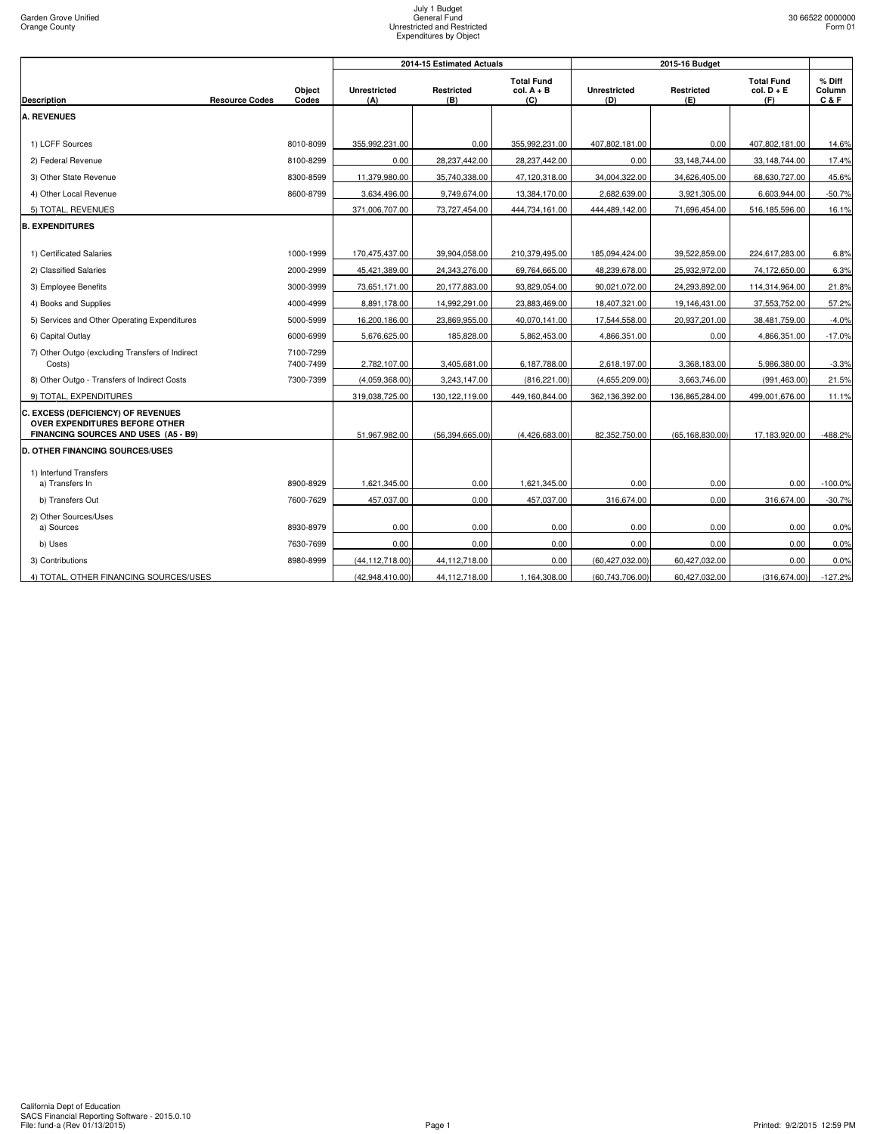|                                                                                                              |                        |                            | 2014-15 Estimated Actuals |                                          |                            | 2015-16 Budget    |                                          |                             |
|--------------------------------------------------------------------------------------------------------------|------------------------|----------------------------|---------------------------|------------------------------------------|----------------------------|-------------------|------------------------------------------|-----------------------------|
| <b>Resource Codes</b><br><b>Description</b>                                                                  | Object<br>Codes        | <b>Unrestricted</b><br>(A) | Restricted<br>(B)         | <b>Total Fund</b><br>$col. A + B$<br>(C) | <b>Unrestricted</b><br>(D) | Restricted<br>(E) | <b>Total Fund</b><br>$col. D + E$<br>(F) | $%$ Diff<br>Column<br>C & F |
| <b>A. REVENUES</b>                                                                                           |                        |                            |                           |                                          |                            |                   |                                          |                             |
|                                                                                                              |                        |                            |                           |                                          |                            |                   |                                          |                             |
| 1) LCFF Sources                                                                                              | 8010-8099              | 355,992,231.00             | 0.00                      | 355,992,231.00                           | 407,802,181.00             | 0.00              | 407,802,181.00                           | 14.6%                       |
| 2) Federal Revenue                                                                                           | 8100-8299              | 0.00                       | 28,237,442.00             | 28,237,442.00                            | 0.00                       | 33,148,744.00     | 33,148,744.00                            | 17.4%                       |
| 3) Other State Revenue                                                                                       | 8300-8599              | 11,379,980.00              | 35,740,338.00             | 47,120,318.00                            | 34,004,322.00              | 34,626,405.00     | 68,630,727.00                            | 45.6%                       |
| 4) Other Local Revenue                                                                                       | 8600-8799              | 3,634,496.00               | 9,749,674.00              | 13,384,170.00                            | 2,682,639.00               | 3,921,305.00      | 6,603,944.00                             | $-50.7%$                    |
| 5) TOTAL, REVENUES                                                                                           |                        | 371,006,707.00             | 73,727,454.00             | 444,734,161.00                           | 444,489,142.00             | 71,696,454.00     | 516,185,596.00                           | 16.1%                       |
| <b>B. EXPENDITURES</b>                                                                                       |                        |                            |                           |                                          |                            |                   |                                          |                             |
|                                                                                                              |                        |                            |                           |                                          |                            |                   |                                          |                             |
| 1) Certificated Salaries                                                                                     | 1000-1999              | 170,475,437.00             | 39,904,058.00             | 210,379,495.00                           | 185,094,424.00             | 39,522,859.00     | 224,617,283.00                           | 6.8%                        |
| 2) Classified Salaries                                                                                       | 2000-2999              | 45,421,389.00              | 24,343,276.00             | 69,764,665.00                            | 48,239,678.00              | 25,932,972.00     | 74,172,650.00                            | 6.3%                        |
| 3) Employee Benefits                                                                                         | 3000-3999              | 73,651,171.00              | 20,177,883.00             | 93,829,054.00                            | 90,021,072.00              | 24,293,892.00     | 114,314,964.00                           | 21.8%                       |
| 4) Books and Supplies                                                                                        | 4000-4999              | 8,891,178.00               | 14,992,291.00             | 23,883,469.00                            | 18,407,321.00              | 19,146,431.00     | 37,553,752.00                            | 57.2%                       |
| 5) Services and Other Operating Expenditures                                                                 | 5000-5999              | 16,200,186.00              | 23,869,955.00             | 40,070,141.00                            | 17,544,558.00              | 20,937,201.00     | 38,481,759.00                            | $-4.0%$                     |
| 6) Capital Outlay                                                                                            | 6000-6999              | 5,676,625.00               | 185,828.00                | 5,862,453.00                             | 4,866,351.00               | 0.00              | 4,866,351.00                             | $-17.0%$                    |
| 7) Other Outgo (excluding Transfers of Indirect<br>Costs)                                                    | 7100-7299<br>7400-7499 | 2,782,107.00               | 3,405,681.00              | 6,187,788.00                             | 2,618,197.00               | 3,368,183.00      | 5,986,380.00                             | $-3.3%$                     |
| 8) Other Outgo - Transfers of Indirect Costs                                                                 | 7300-7399              | (4,059,368.00)             | 3,243,147.00              | (816, 221.00)                            | (4,655,209.00)             | 3,663,746.00      | (991, 463.00)                            | 21.5%                       |
| 9) TOTAL, EXPENDITURES                                                                                       |                        | 319,038,725.00             | 130,122,119.00            | 449,160,844.00                           | 362,136,392.00             | 136,865,284.00    | 499,001,676.00                           | 11.1%                       |
| C. EXCESS (DEFICIENCY) OF REVENUES<br>OVER EXPENDITURES BEFORE OTHER<br>FINANCING SOURCES AND USES (A5 - B9) |                        | 51,967,982.00              | (56, 394, 665.00)         | (4,426,683.00)                           | 82,352,750.00              | (65, 168, 830.00) | 17,183,920.00                            | $-488.2%$                   |
| <b>D. OTHER FINANCING SOURCES/USES</b>                                                                       |                        |                            |                           |                                          |                            |                   |                                          |                             |
| 1) Interfund Transfers<br>a) Transfers In                                                                    | 8900-8929              | 1,621,345.00               | 0.00                      | 1,621,345.00                             | 0.00                       | 0.00              | 0.00                                     | $-100.0%$                   |
| b) Transfers Out                                                                                             | 7600-7629              | 457,037.00                 | 0.00                      | 457,037.00                               | 316,674.00                 | 0.00              | 316,674.00                               | $-30.7%$                    |
| 2) Other Sources/Uses                                                                                        |                        |                            |                           |                                          |                            |                   |                                          |                             |
| a) Sources                                                                                                   | 8930-8979              | 0.00                       | 0.00                      | 0.00                                     | 0.00                       | 0.00              | 0.00                                     | 0.0%                        |
| b) Uses                                                                                                      | 7630-7699              | 0.00                       | 0.00                      | 0.00                                     | 0.00                       | 0.00              | 0.00                                     | 0.0%                        |
| 3) Contributions                                                                                             | 8980-8999              | (44, 112, 718.00)          | 44,112,718.00             | 0.00                                     | (60, 427, 032.00)          | 60,427,032.00     | 0.00                                     | 0.0%                        |
| 4) TOTAL, OTHER FINANCING SOURCES/USES                                                                       |                        | (42,948,410.00)            | 44,112,718.00             | 1,164,308.00                             | (60, 743, 706.00)          | 60,427,032.00     | (316, 674.00)                            | $-127.2%$                   |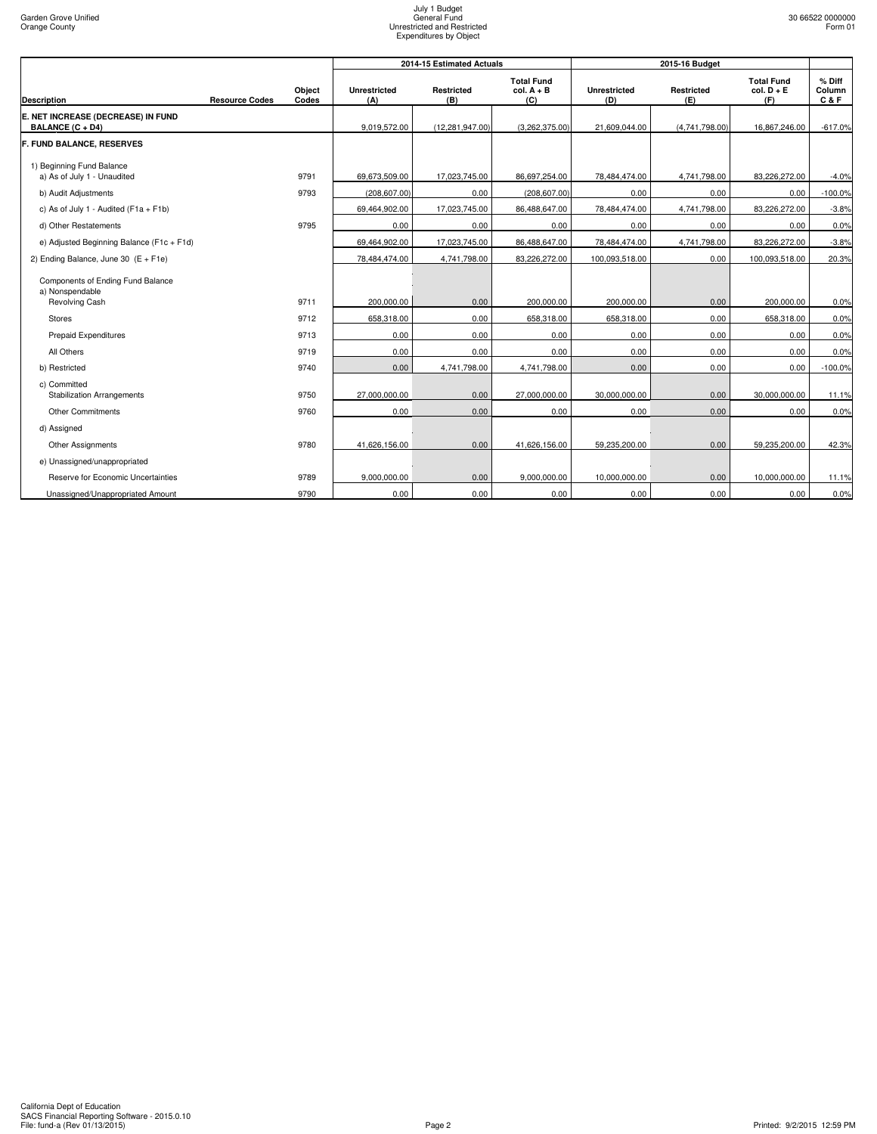|                                                          |                       |                 |                            | 2014-15 Estimated Actuals |                                          |                            | 2015-16 Budget    |                                          |                           |  |
|----------------------------------------------------------|-----------------------|-----------------|----------------------------|---------------------------|------------------------------------------|----------------------------|-------------------|------------------------------------------|---------------------------|--|
| <b>Description</b>                                       | <b>Resource Codes</b> | Object<br>Codes | <b>Unrestricted</b><br>(A) | Restricted<br>(B)         | <b>Total Fund</b><br>$col. A + B$<br>(C) | <b>Unrestricted</b><br>(D) | Restricted<br>(E) | <b>Total Fund</b><br>$col. D + E$<br>(F) | $%$ Diff<br>Column<br>C&F |  |
| E. NET INCREASE (DECREASE) IN FUND<br>BALANCE (C + D4)   |                       |                 | 9,019,572.00               | (12, 281, 947.00)         | (3,262,375.00)                           | 21,609,044.00              | (4,741,798.00)    | 16,867,246.00                            | $-617.0%$                 |  |
| <b>F. FUND BALANCE, RESERVES</b>                         |                       |                 |                            |                           |                                          |                            |                   |                                          |                           |  |
| 1) Beginning Fund Balance<br>a) As of July 1 - Unaudited |                       | 9791            | 69,673,509.00              | 17,023,745.00             | 86,697,254.00                            | 78,484,474.00              | 4,741,798.00      | 83,226,272.00                            | $-4.0%$                   |  |
| b) Audit Adjustments                                     |                       | 9793            | (208, 607.00)              | 0.00                      | (208, 607.00)                            | 0.00                       | 0.00              | 0.00                                     | $-100.0%$                 |  |
| c) As of July 1 - Audited ( $F1a + F1b$ )                |                       |                 | 69,464,902.00              | 17,023,745.00             | 86,488,647.00                            | 78,484,474.00              | 4,741,798.00      | 83,226,272.00                            | $-3.8%$                   |  |
| d) Other Restatements                                    |                       | 9795            | 0.00                       | 0.00                      | 0.00                                     | 0.00                       | 0.00              | 0.00                                     | 0.0%                      |  |
| e) Adjusted Beginning Balance (F1c + F1d)                |                       |                 | 69,464,902.00              | 17,023,745.00             | 86,488,647.00                            | 78.484.474.00              | 4,741,798.00      | 83.226.272.00                            | $-3.8%$                   |  |
| 2) Ending Balance, June 30 (E + F1e)                     |                       |                 | 78,484,474.00              | 4,741,798.00              | 83,226,272.00                            | 100,093,518.00             | 0.00              | 100,093,518.00                           | 20.3%                     |  |
| Components of Ending Fund Balance<br>a) Nonspendable     |                       |                 |                            |                           |                                          |                            |                   |                                          |                           |  |
| Revolving Cash                                           |                       | 9711            | 200,000.00                 | 0.00                      | 200,000.00                               | 200,000.00                 | 0.00              | 200,000.00                               | 0.0%                      |  |
| <b>Stores</b>                                            |                       | 9712            | 658,318.00                 | 0.00                      | 658,318.00                               | 658,318.00                 | 0.00              | 658,318.00                               | 0.0%                      |  |
| <b>Prepaid Expenditures</b>                              |                       | 9713            | 0.00                       | 0.00                      | 0.00                                     | 0.00                       | 0.00              | 0.00                                     | 0.0%                      |  |
| All Others                                               |                       | 9719            | 0.00                       | 0.00                      | 0.00                                     | 0.00                       | 0.00              | 0.00                                     | 0.0%                      |  |
| b) Restricted                                            |                       | 9740            | 0.00                       | 4,741,798.00              | 4,741,798.00                             | 0.00                       | 0.00              | 0.00                                     | $-100.0%$                 |  |
| c) Committed<br><b>Stabilization Arrangements</b>        |                       | 9750            | 27,000,000.00              | 0.00                      | 27,000,000.00                            | 30,000,000.00              | 0.00              | 30,000,000.00                            | 11.1%                     |  |
| <b>Other Commitments</b>                                 |                       | 9760            | 0.00                       | 0.00                      | 0.00                                     | 0.00                       | 0.00              | 0.00                                     | 0.0%                      |  |
| d) Assigned                                              |                       |                 |                            |                           |                                          |                            |                   |                                          |                           |  |
| Other Assignments                                        |                       | 9780            | 41,626,156.00              | 0.00                      | 41,626,156.00                            | 59,235,200.00              | 0.00              | 59,235,200.00                            | 42.3%                     |  |
| e) Unassigned/unappropriated                             |                       |                 |                            |                           |                                          |                            |                   |                                          |                           |  |
| Reserve for Economic Uncertainties                       |                       | 9789            | 9,000,000.00               | 0.00                      | 9,000,000.00                             | 10,000,000.00              | 0.00              | 10,000,000.00                            | 11.1%                     |  |
| Unassigned/Unappropriated Amount                         |                       | 9790            | 0.00                       | 0.00                      | 0.00                                     | 0.00                       | 0.00              | 0.00                                     | 0.0%                      |  |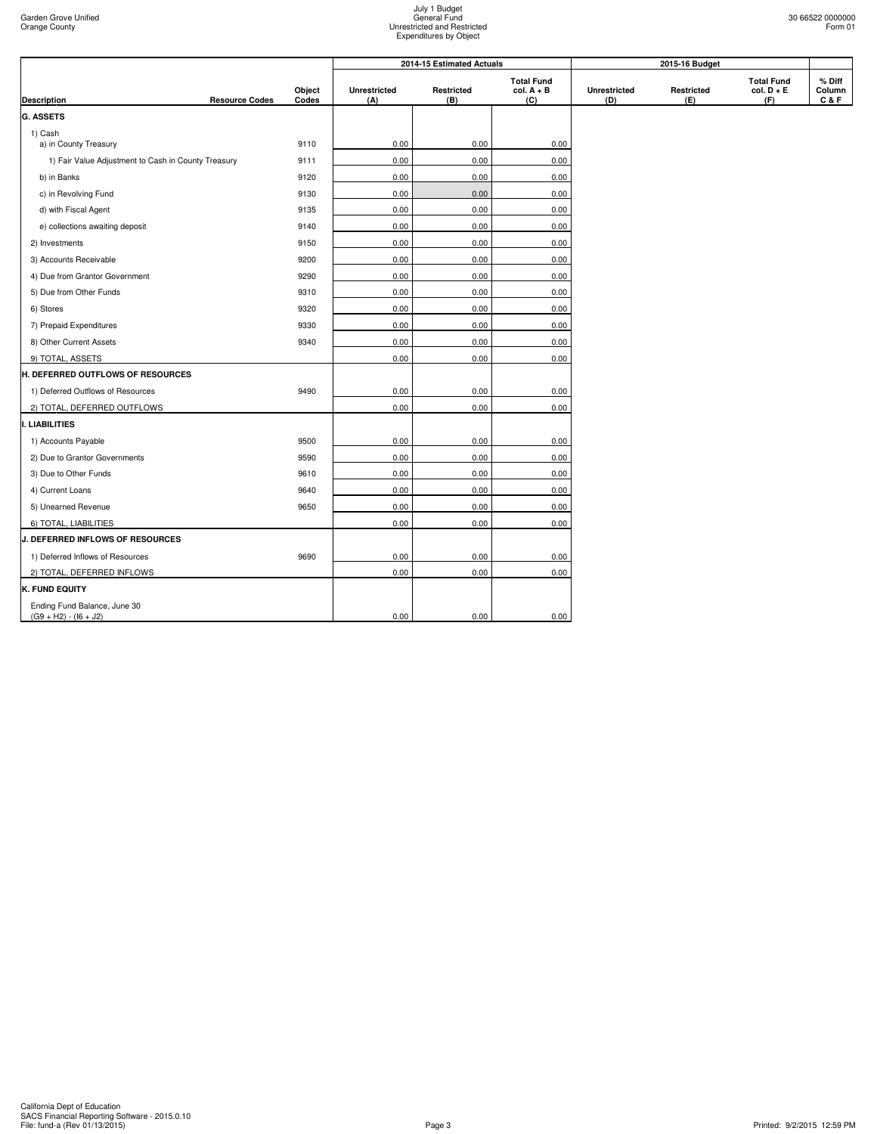|                                                         |                       | Object<br>Codes |                            | 2014-15 Estimated Actuals |                                          |                     | 2015-16 Budget    |                                          |                           |
|---------------------------------------------------------|-----------------------|-----------------|----------------------------|---------------------------|------------------------------------------|---------------------|-------------------|------------------------------------------|---------------------------|
| <b>Description</b>                                      | <b>Resource Codes</b> |                 | <b>Unrestricted</b><br>(A) | Restricted<br>(B)         | <b>Total Fund</b><br>$col. A + B$<br>(C) | Unrestricted<br>(D) | Restricted<br>(E) | <b>Total Fund</b><br>$col. D + E$<br>(F) | % Diff<br>Column<br>C & F |
| <b>G. ASSETS</b>                                        |                       |                 |                            |                           |                                          |                     |                   |                                          |                           |
| 1) Cash                                                 |                       |                 |                            |                           |                                          |                     |                   |                                          |                           |
| a) in County Treasury                                   |                       | 9110            | 0.00                       | 0.00                      | 0.00                                     |                     |                   |                                          |                           |
| 1) Fair Value Adjustment to Cash in County Treasury     |                       | 9111            | 0.00                       | 0.00                      | 0.00                                     |                     |                   |                                          |                           |
| b) in Banks                                             |                       | 9120            | 0.00                       | 0.00                      | 0.00                                     |                     |                   |                                          |                           |
| c) in Revolving Fund                                    |                       | 9130            | 0.00                       | 0.00                      | 0.00                                     |                     |                   |                                          |                           |
| d) with Fiscal Agent                                    |                       | 9135            | 0.00                       | 0.00                      | 0.00                                     |                     |                   |                                          |                           |
| e) collections awaiting deposit                         |                       | 9140            | 0.00                       | 0.00                      | 0.00                                     |                     |                   |                                          |                           |
| 2) Investments                                          |                       | 9150            | 0.00                       | 0.00                      | 0.00                                     |                     |                   |                                          |                           |
| 3) Accounts Receivable                                  |                       | 9200            | 0.00                       | 0.00                      | 0.00                                     |                     |                   |                                          |                           |
| 4) Due from Grantor Government                          |                       | 9290            | 0.00                       | 0.00                      | 0.00                                     |                     |                   |                                          |                           |
| 5) Due from Other Funds                                 |                       | 9310            | 0.00                       | 0.00                      | 0.00                                     |                     |                   |                                          |                           |
| 6) Stores                                               |                       | 9320            | 0.00                       | 0.00                      | 0.00                                     |                     |                   |                                          |                           |
| 7) Prepaid Expenditures                                 |                       | 9330            | 0.00                       | 0.00                      | 0.00                                     |                     |                   |                                          |                           |
| 8) Other Current Assets                                 |                       | 9340            | 0.00                       | 0.00                      | 0.00                                     |                     |                   |                                          |                           |
| 9) TOTAL, ASSETS                                        |                       |                 | 0.00                       | 0.00                      | 0.00                                     |                     |                   |                                          |                           |
| H. DEFERRED OUTFLOWS OF RESOURCES                       |                       |                 |                            |                           |                                          |                     |                   |                                          |                           |
| 1) Deferred Outflows of Resources                       |                       | 9490            | 0.00                       | 0.00                      | 0.00                                     |                     |                   |                                          |                           |
| 2) TOTAL, DEFERRED OUTFLOWS                             |                       |                 | 0.00                       | 0.00                      | 0.00                                     |                     |                   |                                          |                           |
| . LIABILITIES                                           |                       |                 |                            |                           |                                          |                     |                   |                                          |                           |
| 1) Accounts Payable                                     |                       | 9500            | 0.00                       | 0.00                      | 0.00                                     |                     |                   |                                          |                           |
| 2) Due to Grantor Governments                           |                       | 9590            | 0.00                       | 0.00                      | 0.00                                     |                     |                   |                                          |                           |
| 3) Due to Other Funds                                   |                       | 9610            | 0.00                       | 0.00                      | 0.00                                     |                     |                   |                                          |                           |
| 4) Current Loans                                        |                       | 9640            | 0.00                       | 0.00                      | 0.00                                     |                     |                   |                                          |                           |
| 5) Unearned Revenue                                     |                       | 9650            | 0.00                       | 0.00                      | 0.00                                     |                     |                   |                                          |                           |
| 6) TOTAL, LIABILITIES                                   |                       |                 | 0.00                       | 0.00                      | 0.00                                     |                     |                   |                                          |                           |
| <b>J. DEFERRED INFLOWS OF RESOURCES</b>                 |                       |                 |                            |                           |                                          |                     |                   |                                          |                           |
| 1) Deferred Inflows of Resources                        |                       | 9690            | 0.00                       | 0.00                      | 0.00                                     |                     |                   |                                          |                           |
| 2) TOTAL, DEFERRED INFLOWS                              |                       |                 | 0.00                       | 0.00                      | 0.00                                     |                     |                   |                                          |                           |
| K. FUND EQUITY                                          |                       |                 |                            |                           |                                          |                     |                   |                                          |                           |
| Ending Fund Balance, June 30<br>$(G9 + H2) - (16 + J2)$ |                       |                 | 0.00                       | 0.00                      | 0.00                                     |                     |                   |                                          |                           |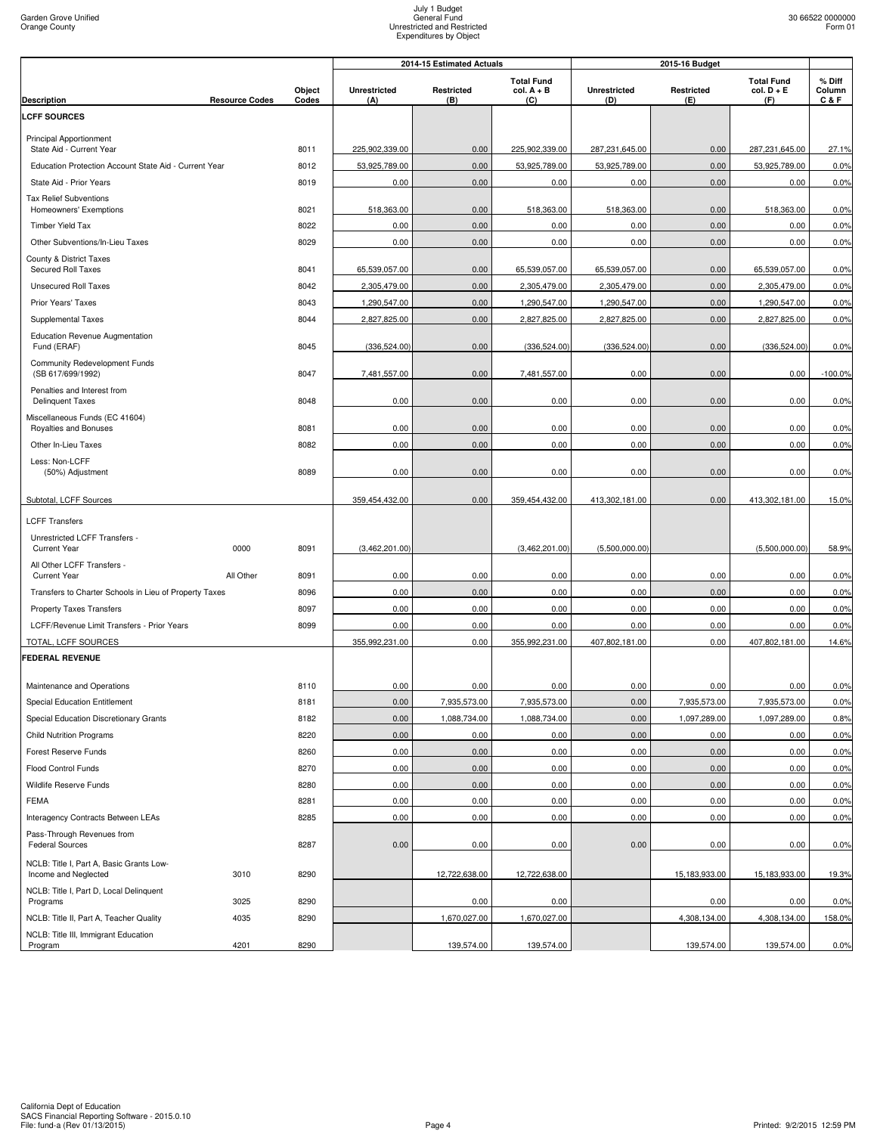| <b>Total Fund</b><br><b>Total Fund</b><br>% Diff<br>Object<br><b>Unrestricted</b><br>Restricted<br>$col. A + B$<br><b>Unrestricted</b><br>Restricted<br>$col. D + E$<br>Column<br><b>Resource Codes</b><br>Codes<br>(A)<br>(B)<br>(C)<br>(D)<br>(E)<br>(F)<br>C & F<br><b>Description</b><br><b>LCFF SOURCES</b><br>Principal Apportionment<br>8011<br>225,902,339.00<br>225,902,339.00<br>0.00<br>287,231,645.00<br>27.1%<br>State Aid - Current Year<br>0.00<br>287,231,645.00<br>53,925,789.00<br>0.00<br>53,925,789.00<br>53,925,789.00<br>0.00<br>53,925,789.00<br>0.0%<br>Education Protection Account State Aid - Current Year<br>8012<br>0.00<br>0.0%<br>State Aid - Prior Years<br>8019<br>0.00<br>0.00<br>0.00<br>0.00<br>0.00<br><b>Tax Relief Subventions</b><br>8021<br>518,363.00<br>518,363.00<br>0.0%<br>518,363.00<br>0.00<br>518,363.00<br>0.00<br>Homeowners' Exemptions<br>8022<br>0.00<br>0.00<br>0.00<br>0.00<br>0.00<br>0.00<br>0.0%<br>Timber Yield Tax<br>0.00<br>0.00<br>0.00<br>0.00<br>0.00<br>0.0%<br>Other Subventions/In-Lieu Taxes<br>8029<br>0.00<br>County & District Taxes<br>65,539,057.00<br>65,539,057.00<br>0.0%<br>Secured Roll Taxes<br>8041<br>0.00<br>65,539,057.00<br>65,539,057.00<br>0.00<br><b>Unsecured Roll Taxes</b><br>0.00<br>2,305,479.00<br>0.00<br>2,305,479.00<br>0.0%<br>8042<br>2,305,479.00<br>2,305,479.00<br>1,290,547.00<br>1,290,547.00<br>1,290,547.00<br>0.00<br>1,290,547.00<br>0.0%<br>Prior Years' Taxes<br>8043<br>0.00<br>8044<br>2,827,825.00<br>0.00<br>2,827,825.00<br>2,827,825.00<br>0.00<br>2,827,825.00<br>0.0%<br><b>Supplemental Taxes</b><br><b>Education Revenue Augmentation</b><br>0.00<br>Fund (ERAF)<br>8045<br>(336, 524.00)<br>0.00<br>(336, 524.00)<br>(336, 524.00)<br>(336, 524.00)<br>0.0%<br>Community Redevelopment Funds<br>(SB 617/699/1992)<br>8047<br>7,481,557.00<br>0.00<br>7,481,557.00<br>0.00<br>0.00<br>0.00<br>$-100.0\%$<br>Penalties and Interest from<br>0.00<br>0.00<br>0.00<br>8048<br>0.00<br>0.00<br>0.00<br>0.0%<br><b>Delinquent Taxes</b><br>Miscellaneous Funds (EC 41604)<br>0.00<br>0.00<br>0.00<br>0.0%<br>Royalties and Bonuses<br>8081<br>0.00<br>0.00<br>0.00<br>0.00<br>0.00<br>0.00<br>0.00<br>0.00<br>0.00<br>0.0%<br>Other In-Lieu Taxes<br>8082<br>Less: Non-LCFF<br>8089<br>0.00<br>0.00<br>0.00<br>0.00<br>0.00<br>0.00<br>0.0%<br>(50%) Adjustment<br>Subtotal, LCFF Sources<br>0.00<br>0.00<br>359,454,432.00<br>359,454,432.00<br>413,302,181.00<br>413,302,181.00<br>15.0%<br><b>LCFF Transfers</b><br>Unrestricted LCFF Transfers -<br>(5,500,000.00)<br>(5,500,000.00)<br>58.9%<br><b>Current Year</b><br>0000<br>8091<br>(3,462,201.00)<br>(3,462,201.00)<br>All Other LCFF Transfers -<br>All Other<br>8091<br>0.00<br>0.00<br>0.00<br>0.00<br>0.00<br>0.00<br>0.0%<br><b>Current Year</b><br>Transfers to Charter Schools in Lieu of Property Taxes<br>8096<br>0.00<br>0.00<br>0.00<br>0.00<br>0.00<br>0.00<br>0.0%<br>0.00<br>0.00<br>0.00<br>0.00<br>0.00<br>0.0%<br>8097<br>0.00<br><b>Property Taxes Transfers</b><br>0.00<br>0.00<br>0.00<br>0.00<br>0.00<br>0.00<br>0.0%<br>LCFF/Revenue Limit Transfers - Prior Years<br>8099<br>355,992,231.00<br>0.00<br>355,992,231.00<br>407,802,181.00<br>0.00<br>407,802,181.00<br>14.6%<br>TOTAL, LCFF SOURCES<br>0.00<br>0.00<br>0.0%<br>Maintenance and Operations<br>8110<br>0.00<br>0.00<br>0.00<br>0.00<br>0.00<br>7,935,573.00<br>7,935,573.00<br><b>Special Education Entitlement</b><br>8181<br>7,935,573.00<br>0.00<br>7,935,573.00<br>0.0%<br>0.00<br>Special Education Discretionary Grants<br>8182<br>0.00<br>1,088,734.00<br>1,088,734.00<br>1,097,289.00<br>1,097,289.00<br>0.8%<br>8220<br>0.00<br>0.00<br>0.00<br>0.00<br>0.00<br>0.00<br>0.0%<br><b>Child Nutrition Programs</b><br>0.00<br>0.00<br>0.00<br>0.00<br>0.0%<br>Forest Reserve Funds<br>8260<br>0.00<br>0.00<br>Flood Control Funds<br>8270<br>0.00<br>0.00<br>0.00<br>0.00<br>0.00<br>0.00<br>0.0%<br>Wildlife Reserve Funds<br>8280<br>0.00<br>0.00<br>0.00<br>0.00<br>0.00<br>0.00<br>0.0%<br>0.00<br>8281<br>0.00<br>0.00<br>0.00<br>0.00<br>0.00<br>0.0%<br><b>FEMA</b><br>0.00<br>0.00<br>Interagency Contracts Between LEAs<br>8285<br>0.00<br>0.00<br>0.00<br>0.00<br>0.0%<br>Pass-Through Revenues from<br><b>Federal Sources</b><br>8287<br>0.00<br>0.00<br>0.00<br>0.00<br>0.00<br>0.00<br>0.0%<br>NCLB: Title I, Part A, Basic Grants Low-<br>Income and Neglected<br>3010<br>8290<br>12,722,638.00<br>12,722,638.00<br>15,183,933.00<br>15,183,933.00<br>19.3%<br>NCLB: Title I, Part D, Local Delinquent<br>0.0%<br>3025<br>8290<br>0.00<br>0.00<br>0.00<br>0.00<br>Programs<br>NCLB: Title II, Part A, Teacher Quality<br>4035<br>8290<br>1,670,027.00<br>1,670,027.00<br>4,308,134.00<br>4,308,134.00<br>158.0%<br>NCLB: Title III, Immigrant Education<br>4201<br>8290<br>139,574.00<br>139,574.00<br>139,574.00<br>139,574.00<br>0.0%<br>Program |                        |  | 2014-15 Estimated Actuals<br>2015-16 Budget |  |  |  |  |  |  |
|----------------------------------------------------------------------------------------------------------------------------------------------------------------------------------------------------------------------------------------------------------------------------------------------------------------------------------------------------------------------------------------------------------------------------------------------------------------------------------------------------------------------------------------------------------------------------------------------------------------------------------------------------------------------------------------------------------------------------------------------------------------------------------------------------------------------------------------------------------------------------------------------------------------------------------------------------------------------------------------------------------------------------------------------------------------------------------------------------------------------------------------------------------------------------------------------------------------------------------------------------------------------------------------------------------------------------------------------------------------------------------------------------------------------------------------------------------------------------------------------------------------------------------------------------------------------------------------------------------------------------------------------------------------------------------------------------------------------------------------------------------------------------------------------------------------------------------------------------------------------------------------------------------------------------------------------------------------------------------------------------------------------------------------------------------------------------------------------------------------------------------------------------------------------------------------------------------------------------------------------------------------------------------------------------------------------------------------------------------------------------------------------------------------------------------------------------------------------------------------------------------------------------------------------------------------------------------------------------------------------------------------------------------------------------------------------------------------------------------------------------------------------------------------------------------------------------------------------------------------------------------------------------------------------------------------------------------------------------------------------------------------------------------------------------------------------------------------------------------------------------------------------------------------------------------------------------------------------------------------------------------------------------------------------------------------------------------------------------------------------------------------------------------------------------------------------------------------------------------------------------------------------------------------------------------------------------------------------------------------------------------------------------------------------------------------------------------------------------------------------------------------------------------------------------------------------------------------------------------------------------------------------------------------------------------------------------------------------------------------------------------------------------------------------------------------------------------------------------------------------------------------------------------------------------------------------------------------------------------------------------------------------------------------------------------------------------------------------------------------------------------------------------------------------------------------------------------------------------------------------------------------------------------------------------------------------------------------------------------------------------------------------------------------------------------------------------------------------------------------------------------------------------------------------------------------------------------------------------------------------------------------------------------------------------------------|------------------------|--|---------------------------------------------|--|--|--|--|--|--|
|                                                                                                                                                                                                                                                                                                                                                                                                                                                                                                                                                                                                                                                                                                                                                                                                                                                                                                                                                                                                                                                                                                                                                                                                                                                                                                                                                                                                                                                                                                                                                                                                                                                                                                                                                                                                                                                                                                                                                                                                                                                                                                                                                                                                                                                                                                                                                                                                                                                                                                                                                                                                                                                                                                                                                                                                                                                                                                                                                                                                                                                                                                                                                                                                                                                                                                                                                                                                                                                                                                                                                                                                                                                                                                                                                                                                                                                                                                                                                                                                                                                                                                                                                                                                                                                                                                                                                                                                                                                                                                                                                                                                                                                                                                                                                                                                                                                                                                                                        |                        |  |                                             |  |  |  |  |  |  |
|                                                                                                                                                                                                                                                                                                                                                                                                                                                                                                                                                                                                                                                                                                                                                                                                                                                                                                                                                                                                                                                                                                                                                                                                                                                                                                                                                                                                                                                                                                                                                                                                                                                                                                                                                                                                                                                                                                                                                                                                                                                                                                                                                                                                                                                                                                                                                                                                                                                                                                                                                                                                                                                                                                                                                                                                                                                                                                                                                                                                                                                                                                                                                                                                                                                                                                                                                                                                                                                                                                                                                                                                                                                                                                                                                                                                                                                                                                                                                                                                                                                                                                                                                                                                                                                                                                                                                                                                                                                                                                                                                                                                                                                                                                                                                                                                                                                                                                                                        |                        |  |                                             |  |  |  |  |  |  |
|                                                                                                                                                                                                                                                                                                                                                                                                                                                                                                                                                                                                                                                                                                                                                                                                                                                                                                                                                                                                                                                                                                                                                                                                                                                                                                                                                                                                                                                                                                                                                                                                                                                                                                                                                                                                                                                                                                                                                                                                                                                                                                                                                                                                                                                                                                                                                                                                                                                                                                                                                                                                                                                                                                                                                                                                                                                                                                                                                                                                                                                                                                                                                                                                                                                                                                                                                                                                                                                                                                                                                                                                                                                                                                                                                                                                                                                                                                                                                                                                                                                                                                                                                                                                                                                                                                                                                                                                                                                                                                                                                                                                                                                                                                                                                                                                                                                                                                                                        |                        |  |                                             |  |  |  |  |  |  |
|                                                                                                                                                                                                                                                                                                                                                                                                                                                                                                                                                                                                                                                                                                                                                                                                                                                                                                                                                                                                                                                                                                                                                                                                                                                                                                                                                                                                                                                                                                                                                                                                                                                                                                                                                                                                                                                                                                                                                                                                                                                                                                                                                                                                                                                                                                                                                                                                                                                                                                                                                                                                                                                                                                                                                                                                                                                                                                                                                                                                                                                                                                                                                                                                                                                                                                                                                                                                                                                                                                                                                                                                                                                                                                                                                                                                                                                                                                                                                                                                                                                                                                                                                                                                                                                                                                                                                                                                                                                                                                                                                                                                                                                                                                                                                                                                                                                                                                                                        |                        |  |                                             |  |  |  |  |  |  |
|                                                                                                                                                                                                                                                                                                                                                                                                                                                                                                                                                                                                                                                                                                                                                                                                                                                                                                                                                                                                                                                                                                                                                                                                                                                                                                                                                                                                                                                                                                                                                                                                                                                                                                                                                                                                                                                                                                                                                                                                                                                                                                                                                                                                                                                                                                                                                                                                                                                                                                                                                                                                                                                                                                                                                                                                                                                                                                                                                                                                                                                                                                                                                                                                                                                                                                                                                                                                                                                                                                                                                                                                                                                                                                                                                                                                                                                                                                                                                                                                                                                                                                                                                                                                                                                                                                                                                                                                                                                                                                                                                                                                                                                                                                                                                                                                                                                                                                                                        |                        |  |                                             |  |  |  |  |  |  |
|                                                                                                                                                                                                                                                                                                                                                                                                                                                                                                                                                                                                                                                                                                                                                                                                                                                                                                                                                                                                                                                                                                                                                                                                                                                                                                                                                                                                                                                                                                                                                                                                                                                                                                                                                                                                                                                                                                                                                                                                                                                                                                                                                                                                                                                                                                                                                                                                                                                                                                                                                                                                                                                                                                                                                                                                                                                                                                                                                                                                                                                                                                                                                                                                                                                                                                                                                                                                                                                                                                                                                                                                                                                                                                                                                                                                                                                                                                                                                                                                                                                                                                                                                                                                                                                                                                                                                                                                                                                                                                                                                                                                                                                                                                                                                                                                                                                                                                                                        |                        |  |                                             |  |  |  |  |  |  |
|                                                                                                                                                                                                                                                                                                                                                                                                                                                                                                                                                                                                                                                                                                                                                                                                                                                                                                                                                                                                                                                                                                                                                                                                                                                                                                                                                                                                                                                                                                                                                                                                                                                                                                                                                                                                                                                                                                                                                                                                                                                                                                                                                                                                                                                                                                                                                                                                                                                                                                                                                                                                                                                                                                                                                                                                                                                                                                                                                                                                                                                                                                                                                                                                                                                                                                                                                                                                                                                                                                                                                                                                                                                                                                                                                                                                                                                                                                                                                                                                                                                                                                                                                                                                                                                                                                                                                                                                                                                                                                                                                                                                                                                                                                                                                                                                                                                                                                                                        |                        |  |                                             |  |  |  |  |  |  |
|                                                                                                                                                                                                                                                                                                                                                                                                                                                                                                                                                                                                                                                                                                                                                                                                                                                                                                                                                                                                                                                                                                                                                                                                                                                                                                                                                                                                                                                                                                                                                                                                                                                                                                                                                                                                                                                                                                                                                                                                                                                                                                                                                                                                                                                                                                                                                                                                                                                                                                                                                                                                                                                                                                                                                                                                                                                                                                                                                                                                                                                                                                                                                                                                                                                                                                                                                                                                                                                                                                                                                                                                                                                                                                                                                                                                                                                                                                                                                                                                                                                                                                                                                                                                                                                                                                                                                                                                                                                                                                                                                                                                                                                                                                                                                                                                                                                                                                                                        |                        |  |                                             |  |  |  |  |  |  |
|                                                                                                                                                                                                                                                                                                                                                                                                                                                                                                                                                                                                                                                                                                                                                                                                                                                                                                                                                                                                                                                                                                                                                                                                                                                                                                                                                                                                                                                                                                                                                                                                                                                                                                                                                                                                                                                                                                                                                                                                                                                                                                                                                                                                                                                                                                                                                                                                                                                                                                                                                                                                                                                                                                                                                                                                                                                                                                                                                                                                                                                                                                                                                                                                                                                                                                                                                                                                                                                                                                                                                                                                                                                                                                                                                                                                                                                                                                                                                                                                                                                                                                                                                                                                                                                                                                                                                                                                                                                                                                                                                                                                                                                                                                                                                                                                                                                                                                                                        |                        |  |                                             |  |  |  |  |  |  |
|                                                                                                                                                                                                                                                                                                                                                                                                                                                                                                                                                                                                                                                                                                                                                                                                                                                                                                                                                                                                                                                                                                                                                                                                                                                                                                                                                                                                                                                                                                                                                                                                                                                                                                                                                                                                                                                                                                                                                                                                                                                                                                                                                                                                                                                                                                                                                                                                                                                                                                                                                                                                                                                                                                                                                                                                                                                                                                                                                                                                                                                                                                                                                                                                                                                                                                                                                                                                                                                                                                                                                                                                                                                                                                                                                                                                                                                                                                                                                                                                                                                                                                                                                                                                                                                                                                                                                                                                                                                                                                                                                                                                                                                                                                                                                                                                                                                                                                                                        |                        |  |                                             |  |  |  |  |  |  |
|                                                                                                                                                                                                                                                                                                                                                                                                                                                                                                                                                                                                                                                                                                                                                                                                                                                                                                                                                                                                                                                                                                                                                                                                                                                                                                                                                                                                                                                                                                                                                                                                                                                                                                                                                                                                                                                                                                                                                                                                                                                                                                                                                                                                                                                                                                                                                                                                                                                                                                                                                                                                                                                                                                                                                                                                                                                                                                                                                                                                                                                                                                                                                                                                                                                                                                                                                                                                                                                                                                                                                                                                                                                                                                                                                                                                                                                                                                                                                                                                                                                                                                                                                                                                                                                                                                                                                                                                                                                                                                                                                                                                                                                                                                                                                                                                                                                                                                                                        |                        |  |                                             |  |  |  |  |  |  |
|                                                                                                                                                                                                                                                                                                                                                                                                                                                                                                                                                                                                                                                                                                                                                                                                                                                                                                                                                                                                                                                                                                                                                                                                                                                                                                                                                                                                                                                                                                                                                                                                                                                                                                                                                                                                                                                                                                                                                                                                                                                                                                                                                                                                                                                                                                                                                                                                                                                                                                                                                                                                                                                                                                                                                                                                                                                                                                                                                                                                                                                                                                                                                                                                                                                                                                                                                                                                                                                                                                                                                                                                                                                                                                                                                                                                                                                                                                                                                                                                                                                                                                                                                                                                                                                                                                                                                                                                                                                                                                                                                                                                                                                                                                                                                                                                                                                                                                                                        |                        |  |                                             |  |  |  |  |  |  |
|                                                                                                                                                                                                                                                                                                                                                                                                                                                                                                                                                                                                                                                                                                                                                                                                                                                                                                                                                                                                                                                                                                                                                                                                                                                                                                                                                                                                                                                                                                                                                                                                                                                                                                                                                                                                                                                                                                                                                                                                                                                                                                                                                                                                                                                                                                                                                                                                                                                                                                                                                                                                                                                                                                                                                                                                                                                                                                                                                                                                                                                                                                                                                                                                                                                                                                                                                                                                                                                                                                                                                                                                                                                                                                                                                                                                                                                                                                                                                                                                                                                                                                                                                                                                                                                                                                                                                                                                                                                                                                                                                                                                                                                                                                                                                                                                                                                                                                                                        |                        |  |                                             |  |  |  |  |  |  |
|                                                                                                                                                                                                                                                                                                                                                                                                                                                                                                                                                                                                                                                                                                                                                                                                                                                                                                                                                                                                                                                                                                                                                                                                                                                                                                                                                                                                                                                                                                                                                                                                                                                                                                                                                                                                                                                                                                                                                                                                                                                                                                                                                                                                                                                                                                                                                                                                                                                                                                                                                                                                                                                                                                                                                                                                                                                                                                                                                                                                                                                                                                                                                                                                                                                                                                                                                                                                                                                                                                                                                                                                                                                                                                                                                                                                                                                                                                                                                                                                                                                                                                                                                                                                                                                                                                                                                                                                                                                                                                                                                                                                                                                                                                                                                                                                                                                                                                                                        |                        |  |                                             |  |  |  |  |  |  |
|                                                                                                                                                                                                                                                                                                                                                                                                                                                                                                                                                                                                                                                                                                                                                                                                                                                                                                                                                                                                                                                                                                                                                                                                                                                                                                                                                                                                                                                                                                                                                                                                                                                                                                                                                                                                                                                                                                                                                                                                                                                                                                                                                                                                                                                                                                                                                                                                                                                                                                                                                                                                                                                                                                                                                                                                                                                                                                                                                                                                                                                                                                                                                                                                                                                                                                                                                                                                                                                                                                                                                                                                                                                                                                                                                                                                                                                                                                                                                                                                                                                                                                                                                                                                                                                                                                                                                                                                                                                                                                                                                                                                                                                                                                                                                                                                                                                                                                                                        |                        |  |                                             |  |  |  |  |  |  |
|                                                                                                                                                                                                                                                                                                                                                                                                                                                                                                                                                                                                                                                                                                                                                                                                                                                                                                                                                                                                                                                                                                                                                                                                                                                                                                                                                                                                                                                                                                                                                                                                                                                                                                                                                                                                                                                                                                                                                                                                                                                                                                                                                                                                                                                                                                                                                                                                                                                                                                                                                                                                                                                                                                                                                                                                                                                                                                                                                                                                                                                                                                                                                                                                                                                                                                                                                                                                                                                                                                                                                                                                                                                                                                                                                                                                                                                                                                                                                                                                                                                                                                                                                                                                                                                                                                                                                                                                                                                                                                                                                                                                                                                                                                                                                                                                                                                                                                                                        |                        |  |                                             |  |  |  |  |  |  |
|                                                                                                                                                                                                                                                                                                                                                                                                                                                                                                                                                                                                                                                                                                                                                                                                                                                                                                                                                                                                                                                                                                                                                                                                                                                                                                                                                                                                                                                                                                                                                                                                                                                                                                                                                                                                                                                                                                                                                                                                                                                                                                                                                                                                                                                                                                                                                                                                                                                                                                                                                                                                                                                                                                                                                                                                                                                                                                                                                                                                                                                                                                                                                                                                                                                                                                                                                                                                                                                                                                                                                                                                                                                                                                                                                                                                                                                                                                                                                                                                                                                                                                                                                                                                                                                                                                                                                                                                                                                                                                                                                                                                                                                                                                                                                                                                                                                                                                                                        |                        |  |                                             |  |  |  |  |  |  |
|                                                                                                                                                                                                                                                                                                                                                                                                                                                                                                                                                                                                                                                                                                                                                                                                                                                                                                                                                                                                                                                                                                                                                                                                                                                                                                                                                                                                                                                                                                                                                                                                                                                                                                                                                                                                                                                                                                                                                                                                                                                                                                                                                                                                                                                                                                                                                                                                                                                                                                                                                                                                                                                                                                                                                                                                                                                                                                                                                                                                                                                                                                                                                                                                                                                                                                                                                                                                                                                                                                                                                                                                                                                                                                                                                                                                                                                                                                                                                                                                                                                                                                                                                                                                                                                                                                                                                                                                                                                                                                                                                                                                                                                                                                                                                                                                                                                                                                                                        |                        |  |                                             |  |  |  |  |  |  |
|                                                                                                                                                                                                                                                                                                                                                                                                                                                                                                                                                                                                                                                                                                                                                                                                                                                                                                                                                                                                                                                                                                                                                                                                                                                                                                                                                                                                                                                                                                                                                                                                                                                                                                                                                                                                                                                                                                                                                                                                                                                                                                                                                                                                                                                                                                                                                                                                                                                                                                                                                                                                                                                                                                                                                                                                                                                                                                                                                                                                                                                                                                                                                                                                                                                                                                                                                                                                                                                                                                                                                                                                                                                                                                                                                                                                                                                                                                                                                                                                                                                                                                                                                                                                                                                                                                                                                                                                                                                                                                                                                                                                                                                                                                                                                                                                                                                                                                                                        |                        |  |                                             |  |  |  |  |  |  |
|                                                                                                                                                                                                                                                                                                                                                                                                                                                                                                                                                                                                                                                                                                                                                                                                                                                                                                                                                                                                                                                                                                                                                                                                                                                                                                                                                                                                                                                                                                                                                                                                                                                                                                                                                                                                                                                                                                                                                                                                                                                                                                                                                                                                                                                                                                                                                                                                                                                                                                                                                                                                                                                                                                                                                                                                                                                                                                                                                                                                                                                                                                                                                                                                                                                                                                                                                                                                                                                                                                                                                                                                                                                                                                                                                                                                                                                                                                                                                                                                                                                                                                                                                                                                                                                                                                                                                                                                                                                                                                                                                                                                                                                                                                                                                                                                                                                                                                                                        |                        |  |                                             |  |  |  |  |  |  |
|                                                                                                                                                                                                                                                                                                                                                                                                                                                                                                                                                                                                                                                                                                                                                                                                                                                                                                                                                                                                                                                                                                                                                                                                                                                                                                                                                                                                                                                                                                                                                                                                                                                                                                                                                                                                                                                                                                                                                                                                                                                                                                                                                                                                                                                                                                                                                                                                                                                                                                                                                                                                                                                                                                                                                                                                                                                                                                                                                                                                                                                                                                                                                                                                                                                                                                                                                                                                                                                                                                                                                                                                                                                                                                                                                                                                                                                                                                                                                                                                                                                                                                                                                                                                                                                                                                                                                                                                                                                                                                                                                                                                                                                                                                                                                                                                                                                                                                                                        |                        |  |                                             |  |  |  |  |  |  |
|                                                                                                                                                                                                                                                                                                                                                                                                                                                                                                                                                                                                                                                                                                                                                                                                                                                                                                                                                                                                                                                                                                                                                                                                                                                                                                                                                                                                                                                                                                                                                                                                                                                                                                                                                                                                                                                                                                                                                                                                                                                                                                                                                                                                                                                                                                                                                                                                                                                                                                                                                                                                                                                                                                                                                                                                                                                                                                                                                                                                                                                                                                                                                                                                                                                                                                                                                                                                                                                                                                                                                                                                                                                                                                                                                                                                                                                                                                                                                                                                                                                                                                                                                                                                                                                                                                                                                                                                                                                                                                                                                                                                                                                                                                                                                                                                                                                                                                                                        |                        |  |                                             |  |  |  |  |  |  |
|                                                                                                                                                                                                                                                                                                                                                                                                                                                                                                                                                                                                                                                                                                                                                                                                                                                                                                                                                                                                                                                                                                                                                                                                                                                                                                                                                                                                                                                                                                                                                                                                                                                                                                                                                                                                                                                                                                                                                                                                                                                                                                                                                                                                                                                                                                                                                                                                                                                                                                                                                                                                                                                                                                                                                                                                                                                                                                                                                                                                                                                                                                                                                                                                                                                                                                                                                                                                                                                                                                                                                                                                                                                                                                                                                                                                                                                                                                                                                                                                                                                                                                                                                                                                                                                                                                                                                                                                                                                                                                                                                                                                                                                                                                                                                                                                                                                                                                                                        |                        |  |                                             |  |  |  |  |  |  |
|                                                                                                                                                                                                                                                                                                                                                                                                                                                                                                                                                                                                                                                                                                                                                                                                                                                                                                                                                                                                                                                                                                                                                                                                                                                                                                                                                                                                                                                                                                                                                                                                                                                                                                                                                                                                                                                                                                                                                                                                                                                                                                                                                                                                                                                                                                                                                                                                                                                                                                                                                                                                                                                                                                                                                                                                                                                                                                                                                                                                                                                                                                                                                                                                                                                                                                                                                                                                                                                                                                                                                                                                                                                                                                                                                                                                                                                                                                                                                                                                                                                                                                                                                                                                                                                                                                                                                                                                                                                                                                                                                                                                                                                                                                                                                                                                                                                                                                                                        |                        |  |                                             |  |  |  |  |  |  |
|                                                                                                                                                                                                                                                                                                                                                                                                                                                                                                                                                                                                                                                                                                                                                                                                                                                                                                                                                                                                                                                                                                                                                                                                                                                                                                                                                                                                                                                                                                                                                                                                                                                                                                                                                                                                                                                                                                                                                                                                                                                                                                                                                                                                                                                                                                                                                                                                                                                                                                                                                                                                                                                                                                                                                                                                                                                                                                                                                                                                                                                                                                                                                                                                                                                                                                                                                                                                                                                                                                                                                                                                                                                                                                                                                                                                                                                                                                                                                                                                                                                                                                                                                                                                                                                                                                                                                                                                                                                                                                                                                                                                                                                                                                                                                                                                                                                                                                                                        |                        |  |                                             |  |  |  |  |  |  |
|                                                                                                                                                                                                                                                                                                                                                                                                                                                                                                                                                                                                                                                                                                                                                                                                                                                                                                                                                                                                                                                                                                                                                                                                                                                                                                                                                                                                                                                                                                                                                                                                                                                                                                                                                                                                                                                                                                                                                                                                                                                                                                                                                                                                                                                                                                                                                                                                                                                                                                                                                                                                                                                                                                                                                                                                                                                                                                                                                                                                                                                                                                                                                                                                                                                                                                                                                                                                                                                                                                                                                                                                                                                                                                                                                                                                                                                                                                                                                                                                                                                                                                                                                                                                                                                                                                                                                                                                                                                                                                                                                                                                                                                                                                                                                                                                                                                                                                                                        |                        |  |                                             |  |  |  |  |  |  |
|                                                                                                                                                                                                                                                                                                                                                                                                                                                                                                                                                                                                                                                                                                                                                                                                                                                                                                                                                                                                                                                                                                                                                                                                                                                                                                                                                                                                                                                                                                                                                                                                                                                                                                                                                                                                                                                                                                                                                                                                                                                                                                                                                                                                                                                                                                                                                                                                                                                                                                                                                                                                                                                                                                                                                                                                                                                                                                                                                                                                                                                                                                                                                                                                                                                                                                                                                                                                                                                                                                                                                                                                                                                                                                                                                                                                                                                                                                                                                                                                                                                                                                                                                                                                                                                                                                                                                                                                                                                                                                                                                                                                                                                                                                                                                                                                                                                                                                                                        |                        |  |                                             |  |  |  |  |  |  |
|                                                                                                                                                                                                                                                                                                                                                                                                                                                                                                                                                                                                                                                                                                                                                                                                                                                                                                                                                                                                                                                                                                                                                                                                                                                                                                                                                                                                                                                                                                                                                                                                                                                                                                                                                                                                                                                                                                                                                                                                                                                                                                                                                                                                                                                                                                                                                                                                                                                                                                                                                                                                                                                                                                                                                                                                                                                                                                                                                                                                                                                                                                                                                                                                                                                                                                                                                                                                                                                                                                                                                                                                                                                                                                                                                                                                                                                                                                                                                                                                                                                                                                                                                                                                                                                                                                                                                                                                                                                                                                                                                                                                                                                                                                                                                                                                                                                                                                                                        |                        |  |                                             |  |  |  |  |  |  |
|                                                                                                                                                                                                                                                                                                                                                                                                                                                                                                                                                                                                                                                                                                                                                                                                                                                                                                                                                                                                                                                                                                                                                                                                                                                                                                                                                                                                                                                                                                                                                                                                                                                                                                                                                                                                                                                                                                                                                                                                                                                                                                                                                                                                                                                                                                                                                                                                                                                                                                                                                                                                                                                                                                                                                                                                                                                                                                                                                                                                                                                                                                                                                                                                                                                                                                                                                                                                                                                                                                                                                                                                                                                                                                                                                                                                                                                                                                                                                                                                                                                                                                                                                                                                                                                                                                                                                                                                                                                                                                                                                                                                                                                                                                                                                                                                                                                                                                                                        |                        |  |                                             |  |  |  |  |  |  |
|                                                                                                                                                                                                                                                                                                                                                                                                                                                                                                                                                                                                                                                                                                                                                                                                                                                                                                                                                                                                                                                                                                                                                                                                                                                                                                                                                                                                                                                                                                                                                                                                                                                                                                                                                                                                                                                                                                                                                                                                                                                                                                                                                                                                                                                                                                                                                                                                                                                                                                                                                                                                                                                                                                                                                                                                                                                                                                                                                                                                                                                                                                                                                                                                                                                                                                                                                                                                                                                                                                                                                                                                                                                                                                                                                                                                                                                                                                                                                                                                                                                                                                                                                                                                                                                                                                                                                                                                                                                                                                                                                                                                                                                                                                                                                                                                                                                                                                                                        |                        |  |                                             |  |  |  |  |  |  |
|                                                                                                                                                                                                                                                                                                                                                                                                                                                                                                                                                                                                                                                                                                                                                                                                                                                                                                                                                                                                                                                                                                                                                                                                                                                                                                                                                                                                                                                                                                                                                                                                                                                                                                                                                                                                                                                                                                                                                                                                                                                                                                                                                                                                                                                                                                                                                                                                                                                                                                                                                                                                                                                                                                                                                                                                                                                                                                                                                                                                                                                                                                                                                                                                                                                                                                                                                                                                                                                                                                                                                                                                                                                                                                                                                                                                                                                                                                                                                                                                                                                                                                                                                                                                                                                                                                                                                                                                                                                                                                                                                                                                                                                                                                                                                                                                                                                                                                                                        |                        |  |                                             |  |  |  |  |  |  |
|                                                                                                                                                                                                                                                                                                                                                                                                                                                                                                                                                                                                                                                                                                                                                                                                                                                                                                                                                                                                                                                                                                                                                                                                                                                                                                                                                                                                                                                                                                                                                                                                                                                                                                                                                                                                                                                                                                                                                                                                                                                                                                                                                                                                                                                                                                                                                                                                                                                                                                                                                                                                                                                                                                                                                                                                                                                                                                                                                                                                                                                                                                                                                                                                                                                                                                                                                                                                                                                                                                                                                                                                                                                                                                                                                                                                                                                                                                                                                                                                                                                                                                                                                                                                                                                                                                                                                                                                                                                                                                                                                                                                                                                                                                                                                                                                                                                                                                                                        |                        |  |                                             |  |  |  |  |  |  |
|                                                                                                                                                                                                                                                                                                                                                                                                                                                                                                                                                                                                                                                                                                                                                                                                                                                                                                                                                                                                                                                                                                                                                                                                                                                                                                                                                                                                                                                                                                                                                                                                                                                                                                                                                                                                                                                                                                                                                                                                                                                                                                                                                                                                                                                                                                                                                                                                                                                                                                                                                                                                                                                                                                                                                                                                                                                                                                                                                                                                                                                                                                                                                                                                                                                                                                                                                                                                                                                                                                                                                                                                                                                                                                                                                                                                                                                                                                                                                                                                                                                                                                                                                                                                                                                                                                                                                                                                                                                                                                                                                                                                                                                                                                                                                                                                                                                                                                                                        |                        |  |                                             |  |  |  |  |  |  |
|                                                                                                                                                                                                                                                                                                                                                                                                                                                                                                                                                                                                                                                                                                                                                                                                                                                                                                                                                                                                                                                                                                                                                                                                                                                                                                                                                                                                                                                                                                                                                                                                                                                                                                                                                                                                                                                                                                                                                                                                                                                                                                                                                                                                                                                                                                                                                                                                                                                                                                                                                                                                                                                                                                                                                                                                                                                                                                                                                                                                                                                                                                                                                                                                                                                                                                                                                                                                                                                                                                                                                                                                                                                                                                                                                                                                                                                                                                                                                                                                                                                                                                                                                                                                                                                                                                                                                                                                                                                                                                                                                                                                                                                                                                                                                                                                                                                                                                                                        | <b>FEDERAL REVENUE</b> |  |                                             |  |  |  |  |  |  |
|                                                                                                                                                                                                                                                                                                                                                                                                                                                                                                                                                                                                                                                                                                                                                                                                                                                                                                                                                                                                                                                                                                                                                                                                                                                                                                                                                                                                                                                                                                                                                                                                                                                                                                                                                                                                                                                                                                                                                                                                                                                                                                                                                                                                                                                                                                                                                                                                                                                                                                                                                                                                                                                                                                                                                                                                                                                                                                                                                                                                                                                                                                                                                                                                                                                                                                                                                                                                                                                                                                                                                                                                                                                                                                                                                                                                                                                                                                                                                                                                                                                                                                                                                                                                                                                                                                                                                                                                                                                                                                                                                                                                                                                                                                                                                                                                                                                                                                                                        |                        |  |                                             |  |  |  |  |  |  |
|                                                                                                                                                                                                                                                                                                                                                                                                                                                                                                                                                                                                                                                                                                                                                                                                                                                                                                                                                                                                                                                                                                                                                                                                                                                                                                                                                                                                                                                                                                                                                                                                                                                                                                                                                                                                                                                                                                                                                                                                                                                                                                                                                                                                                                                                                                                                                                                                                                                                                                                                                                                                                                                                                                                                                                                                                                                                                                                                                                                                                                                                                                                                                                                                                                                                                                                                                                                                                                                                                                                                                                                                                                                                                                                                                                                                                                                                                                                                                                                                                                                                                                                                                                                                                                                                                                                                                                                                                                                                                                                                                                                                                                                                                                                                                                                                                                                                                                                                        |                        |  |                                             |  |  |  |  |  |  |
|                                                                                                                                                                                                                                                                                                                                                                                                                                                                                                                                                                                                                                                                                                                                                                                                                                                                                                                                                                                                                                                                                                                                                                                                                                                                                                                                                                                                                                                                                                                                                                                                                                                                                                                                                                                                                                                                                                                                                                                                                                                                                                                                                                                                                                                                                                                                                                                                                                                                                                                                                                                                                                                                                                                                                                                                                                                                                                                                                                                                                                                                                                                                                                                                                                                                                                                                                                                                                                                                                                                                                                                                                                                                                                                                                                                                                                                                                                                                                                                                                                                                                                                                                                                                                                                                                                                                                                                                                                                                                                                                                                                                                                                                                                                                                                                                                                                                                                                                        |                        |  |                                             |  |  |  |  |  |  |
|                                                                                                                                                                                                                                                                                                                                                                                                                                                                                                                                                                                                                                                                                                                                                                                                                                                                                                                                                                                                                                                                                                                                                                                                                                                                                                                                                                                                                                                                                                                                                                                                                                                                                                                                                                                                                                                                                                                                                                                                                                                                                                                                                                                                                                                                                                                                                                                                                                                                                                                                                                                                                                                                                                                                                                                                                                                                                                                                                                                                                                                                                                                                                                                                                                                                                                                                                                                                                                                                                                                                                                                                                                                                                                                                                                                                                                                                                                                                                                                                                                                                                                                                                                                                                                                                                                                                                                                                                                                                                                                                                                                                                                                                                                                                                                                                                                                                                                                                        |                        |  |                                             |  |  |  |  |  |  |
|                                                                                                                                                                                                                                                                                                                                                                                                                                                                                                                                                                                                                                                                                                                                                                                                                                                                                                                                                                                                                                                                                                                                                                                                                                                                                                                                                                                                                                                                                                                                                                                                                                                                                                                                                                                                                                                                                                                                                                                                                                                                                                                                                                                                                                                                                                                                                                                                                                                                                                                                                                                                                                                                                                                                                                                                                                                                                                                                                                                                                                                                                                                                                                                                                                                                                                                                                                                                                                                                                                                                                                                                                                                                                                                                                                                                                                                                                                                                                                                                                                                                                                                                                                                                                                                                                                                                                                                                                                                                                                                                                                                                                                                                                                                                                                                                                                                                                                                                        |                        |  |                                             |  |  |  |  |  |  |
|                                                                                                                                                                                                                                                                                                                                                                                                                                                                                                                                                                                                                                                                                                                                                                                                                                                                                                                                                                                                                                                                                                                                                                                                                                                                                                                                                                                                                                                                                                                                                                                                                                                                                                                                                                                                                                                                                                                                                                                                                                                                                                                                                                                                                                                                                                                                                                                                                                                                                                                                                                                                                                                                                                                                                                                                                                                                                                                                                                                                                                                                                                                                                                                                                                                                                                                                                                                                                                                                                                                                                                                                                                                                                                                                                                                                                                                                                                                                                                                                                                                                                                                                                                                                                                                                                                                                                                                                                                                                                                                                                                                                                                                                                                                                                                                                                                                                                                                                        |                        |  |                                             |  |  |  |  |  |  |
|                                                                                                                                                                                                                                                                                                                                                                                                                                                                                                                                                                                                                                                                                                                                                                                                                                                                                                                                                                                                                                                                                                                                                                                                                                                                                                                                                                                                                                                                                                                                                                                                                                                                                                                                                                                                                                                                                                                                                                                                                                                                                                                                                                                                                                                                                                                                                                                                                                                                                                                                                                                                                                                                                                                                                                                                                                                                                                                                                                                                                                                                                                                                                                                                                                                                                                                                                                                                                                                                                                                                                                                                                                                                                                                                                                                                                                                                                                                                                                                                                                                                                                                                                                                                                                                                                                                                                                                                                                                                                                                                                                                                                                                                                                                                                                                                                                                                                                                                        |                        |  |                                             |  |  |  |  |  |  |
|                                                                                                                                                                                                                                                                                                                                                                                                                                                                                                                                                                                                                                                                                                                                                                                                                                                                                                                                                                                                                                                                                                                                                                                                                                                                                                                                                                                                                                                                                                                                                                                                                                                                                                                                                                                                                                                                                                                                                                                                                                                                                                                                                                                                                                                                                                                                                                                                                                                                                                                                                                                                                                                                                                                                                                                                                                                                                                                                                                                                                                                                                                                                                                                                                                                                                                                                                                                                                                                                                                                                                                                                                                                                                                                                                                                                                                                                                                                                                                                                                                                                                                                                                                                                                                                                                                                                                                                                                                                                                                                                                                                                                                                                                                                                                                                                                                                                                                                                        |                        |  |                                             |  |  |  |  |  |  |
|                                                                                                                                                                                                                                                                                                                                                                                                                                                                                                                                                                                                                                                                                                                                                                                                                                                                                                                                                                                                                                                                                                                                                                                                                                                                                                                                                                                                                                                                                                                                                                                                                                                                                                                                                                                                                                                                                                                                                                                                                                                                                                                                                                                                                                                                                                                                                                                                                                                                                                                                                                                                                                                                                                                                                                                                                                                                                                                                                                                                                                                                                                                                                                                                                                                                                                                                                                                                                                                                                                                                                                                                                                                                                                                                                                                                                                                                                                                                                                                                                                                                                                                                                                                                                                                                                                                                                                                                                                                                                                                                                                                                                                                                                                                                                                                                                                                                                                                                        |                        |  |                                             |  |  |  |  |  |  |
|                                                                                                                                                                                                                                                                                                                                                                                                                                                                                                                                                                                                                                                                                                                                                                                                                                                                                                                                                                                                                                                                                                                                                                                                                                                                                                                                                                                                                                                                                                                                                                                                                                                                                                                                                                                                                                                                                                                                                                                                                                                                                                                                                                                                                                                                                                                                                                                                                                                                                                                                                                                                                                                                                                                                                                                                                                                                                                                                                                                                                                                                                                                                                                                                                                                                                                                                                                                                                                                                                                                                                                                                                                                                                                                                                                                                                                                                                                                                                                                                                                                                                                                                                                                                                                                                                                                                                                                                                                                                                                                                                                                                                                                                                                                                                                                                                                                                                                                                        |                        |  |                                             |  |  |  |  |  |  |
|                                                                                                                                                                                                                                                                                                                                                                                                                                                                                                                                                                                                                                                                                                                                                                                                                                                                                                                                                                                                                                                                                                                                                                                                                                                                                                                                                                                                                                                                                                                                                                                                                                                                                                                                                                                                                                                                                                                                                                                                                                                                                                                                                                                                                                                                                                                                                                                                                                                                                                                                                                                                                                                                                                                                                                                                                                                                                                                                                                                                                                                                                                                                                                                                                                                                                                                                                                                                                                                                                                                                                                                                                                                                                                                                                                                                                                                                                                                                                                                                                                                                                                                                                                                                                                                                                                                                                                                                                                                                                                                                                                                                                                                                                                                                                                                                                                                                                                                                        |                        |  |                                             |  |  |  |  |  |  |
|                                                                                                                                                                                                                                                                                                                                                                                                                                                                                                                                                                                                                                                                                                                                                                                                                                                                                                                                                                                                                                                                                                                                                                                                                                                                                                                                                                                                                                                                                                                                                                                                                                                                                                                                                                                                                                                                                                                                                                                                                                                                                                                                                                                                                                                                                                                                                                                                                                                                                                                                                                                                                                                                                                                                                                                                                                                                                                                                                                                                                                                                                                                                                                                                                                                                                                                                                                                                                                                                                                                                                                                                                                                                                                                                                                                                                                                                                                                                                                                                                                                                                                                                                                                                                                                                                                                                                                                                                                                                                                                                                                                                                                                                                                                                                                                                                                                                                                                                        |                        |  |                                             |  |  |  |  |  |  |
|                                                                                                                                                                                                                                                                                                                                                                                                                                                                                                                                                                                                                                                                                                                                                                                                                                                                                                                                                                                                                                                                                                                                                                                                                                                                                                                                                                                                                                                                                                                                                                                                                                                                                                                                                                                                                                                                                                                                                                                                                                                                                                                                                                                                                                                                                                                                                                                                                                                                                                                                                                                                                                                                                                                                                                                                                                                                                                                                                                                                                                                                                                                                                                                                                                                                                                                                                                                                                                                                                                                                                                                                                                                                                                                                                                                                                                                                                                                                                                                                                                                                                                                                                                                                                                                                                                                                                                                                                                                                                                                                                                                                                                                                                                                                                                                                                                                                                                                                        |                        |  |                                             |  |  |  |  |  |  |
|                                                                                                                                                                                                                                                                                                                                                                                                                                                                                                                                                                                                                                                                                                                                                                                                                                                                                                                                                                                                                                                                                                                                                                                                                                                                                                                                                                                                                                                                                                                                                                                                                                                                                                                                                                                                                                                                                                                                                                                                                                                                                                                                                                                                                                                                                                                                                                                                                                                                                                                                                                                                                                                                                                                                                                                                                                                                                                                                                                                                                                                                                                                                                                                                                                                                                                                                                                                                                                                                                                                                                                                                                                                                                                                                                                                                                                                                                                                                                                                                                                                                                                                                                                                                                                                                                                                                                                                                                                                                                                                                                                                                                                                                                                                                                                                                                                                                                                                                        |                        |  |                                             |  |  |  |  |  |  |
|                                                                                                                                                                                                                                                                                                                                                                                                                                                                                                                                                                                                                                                                                                                                                                                                                                                                                                                                                                                                                                                                                                                                                                                                                                                                                                                                                                                                                                                                                                                                                                                                                                                                                                                                                                                                                                                                                                                                                                                                                                                                                                                                                                                                                                                                                                                                                                                                                                                                                                                                                                                                                                                                                                                                                                                                                                                                                                                                                                                                                                                                                                                                                                                                                                                                                                                                                                                                                                                                                                                                                                                                                                                                                                                                                                                                                                                                                                                                                                                                                                                                                                                                                                                                                                                                                                                                                                                                                                                                                                                                                                                                                                                                                                                                                                                                                                                                                                                                        |                        |  |                                             |  |  |  |  |  |  |
|                                                                                                                                                                                                                                                                                                                                                                                                                                                                                                                                                                                                                                                                                                                                                                                                                                                                                                                                                                                                                                                                                                                                                                                                                                                                                                                                                                                                                                                                                                                                                                                                                                                                                                                                                                                                                                                                                                                                                                                                                                                                                                                                                                                                                                                                                                                                                                                                                                                                                                                                                                                                                                                                                                                                                                                                                                                                                                                                                                                                                                                                                                                                                                                                                                                                                                                                                                                                                                                                                                                                                                                                                                                                                                                                                                                                                                                                                                                                                                                                                                                                                                                                                                                                                                                                                                                                                                                                                                                                                                                                                                                                                                                                                                                                                                                                                                                                                                                                        |                        |  |                                             |  |  |  |  |  |  |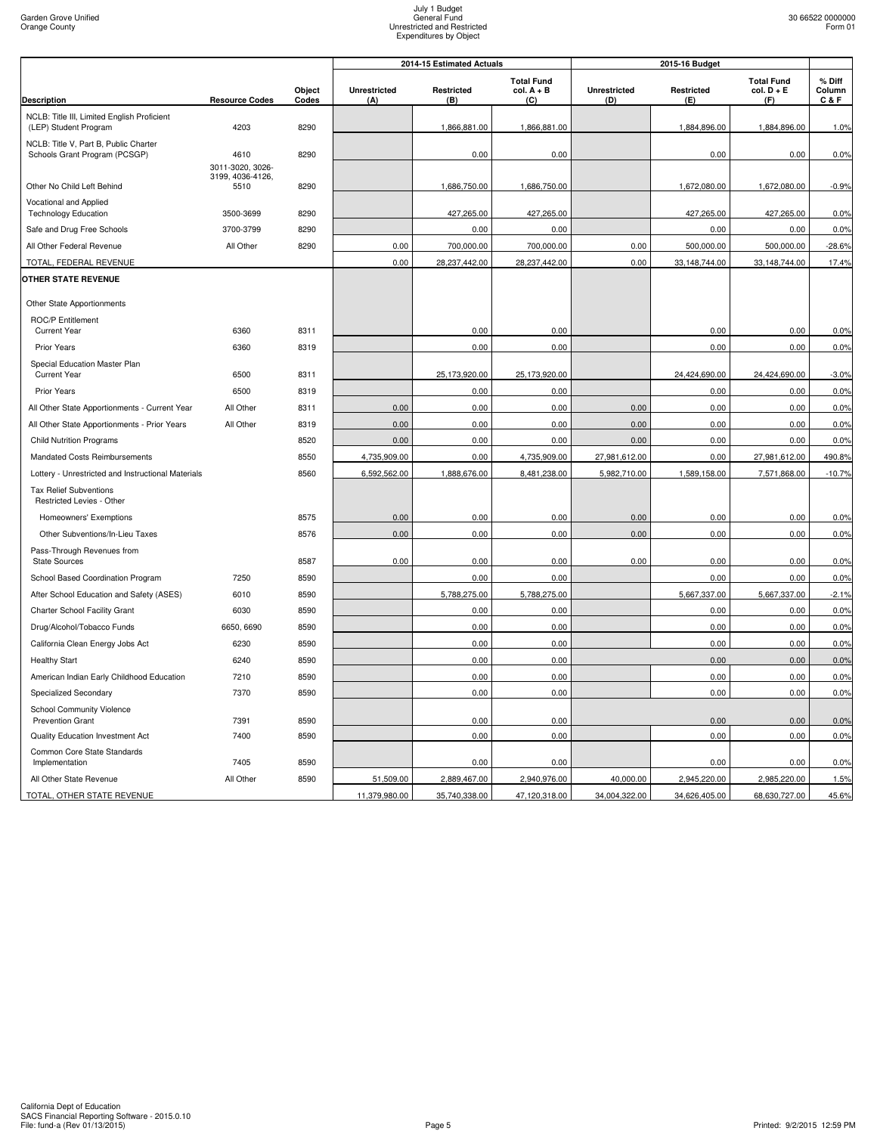|                                                                        |                                      |                 |                            | 2014-15 Estimated Actuals |                                          |                            | 2015-16 Budget    |                                          |                         |
|------------------------------------------------------------------------|--------------------------------------|-----------------|----------------------------|---------------------------|------------------------------------------|----------------------------|-------------------|------------------------------------------|-------------------------|
| <b>Description</b>                                                     | <b>Resource Codes</b>                | Object<br>Codes | <b>Unrestricted</b><br>(A) | Restricted<br>(B)         | <b>Total Fund</b><br>$col. A + B$<br>(C) | <b>Unrestricted</b><br>(D) | Restricted<br>(E) | <b>Total Fund</b><br>$col. D + E$<br>(F) | % Diff<br>Column<br>C&F |
| NCLB: Title III, Limited English Proficient<br>(LEP) Student Program   | 4203                                 | 8290            |                            | 1,866,881.00              | 1,866,881.00                             |                            | 1,884,896.00      | 1,884,896.00                             | 1.0%                    |
| NCLB: Title V, Part B, Public Charter<br>Schools Grant Program (PCSGP) | 4610                                 | 8290            |                            | 0.00                      | 0.00                                     |                            | 0.00              | 0.00                                     | 0.0%                    |
|                                                                        | 3011-3020, 3026-<br>3199, 4036-4126, |                 |                            |                           |                                          |                            |                   |                                          |                         |
| Other No Child Left Behind                                             | 5510                                 | 8290            |                            | 1,686,750.00              | 1,686,750.00                             |                            | 1,672,080.00      | 1,672,080.00                             | $-0.9%$                 |
| Vocational and Applied<br><b>Technology Education</b>                  | 3500-3699                            | 8290            |                            | 427,265.00                | 427,265.00                               |                            | 427,265.00        | 427,265.00                               | 0.0%                    |
| Safe and Drug Free Schools                                             | 3700-3799                            | 8290            |                            | 0.00                      | 0.00                                     |                            | 0.00              | 0.00                                     | 0.0%                    |
| All Other Federal Revenue                                              | All Other                            | 8290            | 0.00                       | 700,000.00                | 700,000.00                               | 0.00                       | 500,000.00        | 500,000.00                               | $-28.6%$                |
| TOTAL, FEDERAL REVENUE                                                 |                                      |                 | 0.00                       | 28,237,442.00             | 28,237,442.00                            | 0.00                       | 33,148,744.00     | 33,148,744.00                            | 17.4%                   |
| <b>OTHER STATE REVENUE</b>                                             |                                      |                 |                            |                           |                                          |                            |                   |                                          |                         |
| Other State Apportionments                                             |                                      |                 |                            |                           |                                          |                            |                   |                                          |                         |
| <b>ROC/P Entitlement</b><br><b>Current Year</b>                        | 6360                                 | 8311            |                            | 0.00                      | 0.00                                     |                            | 0.00              | 0.00                                     | 0.0%                    |
| Prior Years                                                            | 6360                                 | 8319            |                            | 0.00                      | 0.00                                     |                            | 0.00              | 0.00                                     | 0.0%                    |
| Special Education Master Plan<br><b>Current Year</b>                   | 6500                                 | 8311            |                            | 25,173,920.00             | 25,173,920.00                            |                            | 24,424,690.00     | 24,424,690.00                            | $-3.0%$                 |
| <b>Prior Years</b>                                                     | 6500                                 | 8319            |                            | 0.00                      | 0.00                                     |                            | 0.00              | 0.00                                     | 0.0%                    |
| All Other State Apportionments - Current Year                          | All Other                            | 8311            | 0.00                       | 0.00                      | 0.00                                     | 0.00                       | 0.00              | 0.00                                     | 0.0%                    |
| All Other State Apportionments - Prior Years                           | All Other                            | 8319            | 0.00                       | 0.00                      | 0.00                                     | 0.00                       | 0.00              | 0.00                                     | 0.0%                    |
| <b>Child Nutrition Programs</b>                                        |                                      | 8520            | 0.00                       | 0.00                      | 0.00                                     | 0.00                       | 0.00              | 0.00                                     | 0.0%                    |
| Mandated Costs Reimbursements                                          |                                      | 8550            | 4,735,909.00               | 0.00                      | 4,735,909.00                             | 27,981,612.00              | 0.00              | 27,981,612.00                            | 490.8%                  |
| Lottery - Unrestricted and Instructional Materials                     |                                      | 8560            | 6,592,562.00               | 1,888,676.00              | 8,481,238.00                             | 5,982,710.00               | 1,589,158.00      | 7,571,868.00                             | $-10.7%$                |
| <b>Tax Relief Subventions</b><br>Restricted Levies - Other             |                                      |                 |                            |                           |                                          |                            |                   |                                          |                         |
| Homeowners' Exemptions                                                 |                                      | 8575            | 0.00                       | 0.00                      | 0.00                                     | 0.00                       | 0.00              | 0.00                                     | 0.0%                    |
| Other Subventions/In-Lieu Taxes                                        |                                      | 8576            | 0.00                       | 0.00                      | 0.00                                     | 0.00                       | 0.00              | 0.00                                     | 0.0%                    |
| Pass-Through Revenues from<br>State Sources                            |                                      | 8587            | 0.00                       | 0.00                      | 0.00                                     | 0.00                       | 0.00              | 0.00                                     | 0.0%                    |
| School Based Coordination Program                                      | 7250                                 | 8590            |                            | 0.00                      | 0.00                                     |                            | 0.00              | 0.00                                     | 0.0%                    |
| After School Education and Safety (ASES)                               | 6010                                 | 8590            |                            | 5,788,275.00              | 5,788,275.00                             |                            | 5,667,337.00      | 5,667,337.00                             | $-2.1%$                 |
| Charter School Facility Grant                                          | 6030                                 | 8590            |                            | 0.00                      | 0.00                                     |                            | 0.00              | 0.00                                     | 0.0%                    |
| Drug/Alcohol/Tobacco Funds                                             | 6650, 6690                           | 8590            |                            | 0.00                      | 0.00                                     |                            | 0.00              | 0.00                                     | 0.0%                    |
| California Clean Energy Jobs Act                                       | 6230                                 | 8590            |                            | 0.00                      | 0.00                                     |                            | 0.00              | 0.00                                     | 0.0%                    |
| <b>Healthy Start</b>                                                   | 6240                                 | 8590            |                            | 0.00                      | 0.00                                     |                            | 0.00              | 0.00                                     | 0.0%                    |
| American Indian Early Childhood Education                              | 7210                                 | 8590            |                            | 0.00                      | 0.00                                     |                            | 0.00              | 0.00                                     | 0.0%                    |
| Specialized Secondary                                                  | 7370                                 | 8590            |                            | 0.00                      | 0.00                                     |                            | 0.00              | 0.00                                     | 0.0%                    |
| <b>School Community Violence</b><br><b>Prevention Grant</b>            | 7391                                 | 8590            |                            | 0.00                      | 0.00                                     |                            | 0.00              | 0.00                                     | 0.0%                    |
| Quality Education Investment Act                                       | 7400                                 | 8590            |                            | 0.00                      | 0.00                                     |                            | 0.00              | 0.00                                     | 0.0%                    |
| Common Core State Standards<br>Implementation                          | 7405                                 | 8590            |                            | 0.00                      | 0.00                                     |                            | 0.00              | 0.00                                     | 0.0%                    |
| All Other State Revenue                                                | All Other                            | 8590            | 51,509.00                  | 2,889,467.00              | 2,940,976.00                             | 40,000.00                  | 2,945,220.00      | 2,985,220.00                             | 1.5%                    |
| TOTAL, OTHER STATE REVENUE                                             |                                      |                 | 11,379,980.00              | 35,740,338.00             | 47,120,318.00                            | 34,004,322.00              | 34,626,405.00     | 68,630,727.00                            | 45.6%                   |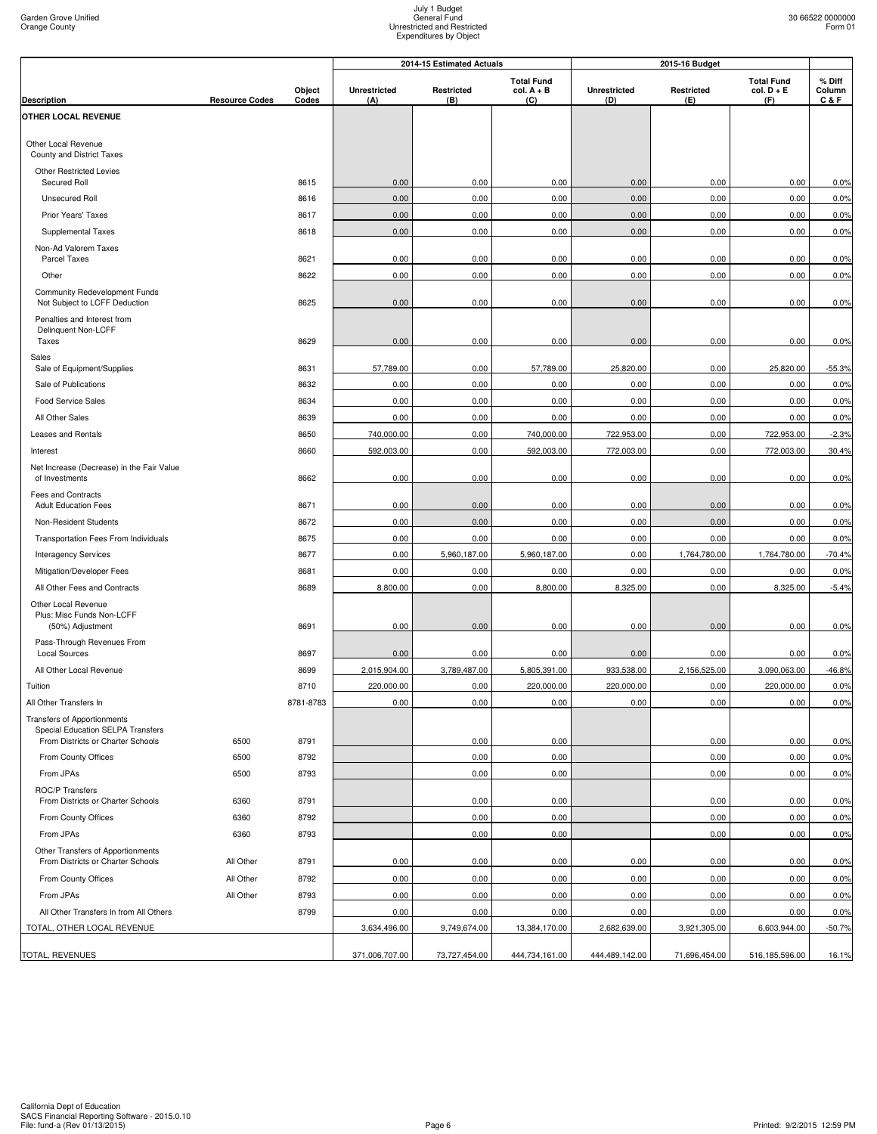|                                                                         |                       |           | 2014-15 Estimated Actuals<br>2015-16 Budget |               |                                   |                     |               |                                   |                  |
|-------------------------------------------------------------------------|-----------------------|-----------|---------------------------------------------|---------------|-----------------------------------|---------------------|---------------|-----------------------------------|------------------|
|                                                                         |                       | Object    | <b>Unrestricted</b>                         | Restricted    | <b>Total Fund</b><br>$col. A + B$ | <b>Unrestricted</b> | Restricted    | <b>Total Fund</b><br>$col. D + E$ | % Diff<br>Column |
| <b>Description</b><br>OTHER LOCAL REVENUE                               | <b>Resource Codes</b> | Codes     | (A)                                         | (B)           | (C)                               | (D)                 | (E)           | (F)                               | C&F              |
|                                                                         |                       |           |                                             |               |                                   |                     |               |                                   |                  |
| Other Local Revenue<br>County and District Taxes                        |                       |           |                                             |               |                                   |                     |               |                                   |                  |
| <b>Other Restricted Levies</b><br>Secured Roll                          |                       | 8615      | 0.00                                        | 0.00          | 0.00                              | 0.00                | 0.00          | 0.00                              | 0.0%             |
| <b>Unsecured Roll</b>                                                   |                       | 8616      | 0.00                                        | 0.00          | 0.00                              | 0.00                | 0.00          | 0.00                              | 0.0%             |
| Prior Years' Taxes                                                      |                       | 8617      | 0.00                                        | 0.00          | 0.00                              | 0.00                | 0.00          | 0.00                              | 0.0%             |
| Supplemental Taxes                                                      |                       | 8618      | 0.00                                        | 0.00          | 0.00                              | 0.00                | 0.00          | 0.00                              | 0.0%             |
| Non-Ad Valorem Taxes<br>Parcel Taxes                                    |                       | 8621      | 0.00                                        | 0.00          | 0.00                              | 0.00                | 0.00          | 0.00                              | 0.0%             |
| Other                                                                   |                       | 8622      | 0.00                                        | 0.00          | 0.00                              | 0.00                | 0.00          | 0.00                              | 0.0%             |
| Community Redevelopment Funds<br>Not Subject to LCFF Deduction          |                       | 8625      | 0.00                                        | 0.00          | 0.00                              | 0.00                | 0.00          | 0.00                              | 0.0%             |
| Penalties and Interest from<br>Delinquent Non-LCFF                      |                       |           |                                             |               |                                   |                     |               |                                   |                  |
| Taxes                                                                   |                       | 8629      | 0.00                                        | 0.00          | 0.00                              | 0.00                | 0.00          | 0.00                              | 0.0%             |
| Sales<br>Sale of Equipment/Supplies                                     |                       | 8631      | 57,789.00                                   | 0.00          | 57,789.00                         | 25,820.00           | 0.00          | 25,820.00                         | $-55.3%$         |
| Sale of Publications                                                    |                       | 8632      | 0.00                                        | 0.00          | 0.00                              | 0.00                | 0.00          | 0.00                              | 0.0%             |
| <b>Food Service Sales</b>                                               |                       | 8634      | 0.00                                        | 0.00          | 0.00                              | 0.00                | 0.00          | 0.00                              | 0.0%             |
| All Other Sales                                                         |                       | 8639      | 0.00                                        | 0.00          | 0.00                              | 0.00                | 0.00          | 0.00                              | 0.0%             |
| Leases and Rentals                                                      |                       | 8650      | 740,000.00                                  | 0.00          | 740,000.00                        | 722,953.00          | 0.00          | 722,953.00                        | $-2.3%$          |
| Interest                                                                |                       | 8660      | 592,003.00                                  | 0.00          | 592,003.00                        | 772,003.00          | 0.00          | 772,003.00                        | 30.4%            |
| Net Increase (Decrease) in the Fair Value<br>of Investments             |                       | 8662      | 0.00                                        | 0.00          | 0.00                              | 0.00                | 0.00          | 0.00                              | 0.0%             |
| Fees and Contracts<br><b>Adult Education Fees</b>                       |                       | 8671      | 0.00                                        | 0.00          | 0.00                              | 0.00                | 0.00          | 0.00                              | 0.0%             |
| Non-Resident Students                                                   |                       | 8672      | 0.00                                        | 0.00          | 0.00                              | 0.00                | 0.00          | 0.00                              | 0.0%             |
| Transportation Fees From Individuals                                    |                       | 8675      | 0.00                                        | 0.00          | 0.00                              | 0.00                | 0.00          | 0.00                              | 0.0%             |
| <b>Interagency Services</b>                                             |                       | 8677      | 0.00                                        | 5,960,187.00  | 5,960,187.00                      | 0.00                | 1,764,780.00  | 1,764,780.00                      | $-70.4%$         |
| Mitigation/Developer Fees                                               |                       | 8681      | 0.00                                        | 0.00          | 0.00                              | 0.00                | 0.00          | 0.00                              | 0.0%             |
| All Other Fees and Contracts                                            |                       | 8689      | 8,800.00                                    | 0.00          | 8,800.00                          | 8,325.00            | 0.00          | 8,325.00                          | $-5.4%$          |
| Other Local Revenue<br>Plus: Misc Funds Non-LCFF<br>(50%) Adjustment    |                       | 8691      | 0.00                                        | 0.00          | 0.00                              | 0.00                | 0.00          | 0.00                              | 0.0%             |
| Pass-Through Revenues From<br><b>Local Sources</b>                      |                       | 8697      | 0.00                                        | 0.00          | 0.00                              | 0.00                | 0.00          | 0.00                              | 0.0%             |
| All Other Local Revenue                                                 |                       | 8699      | 2,015,904.00                                | 3,789,487.00  | 5,805,391.00                      | 933,538.00          | 2,156,525.00  | 3,090,063.00                      | $-46.8%$         |
| Tuition                                                                 |                       | 8710      | 220,000.00                                  | 0.00          | 220,000.00                        | 220,000.00          | 0.00          | 220,000.00                        | 0.0%             |
| All Other Transfers In                                                  |                       | 8781-8783 | 0.00                                        | 0.00          | 0.00                              | 0.00                | 0.00          | 0.00                              | 0.0%             |
| <b>Transfers of Apportionments</b><br>Special Education SELPA Transfers |                       |           |                                             |               |                                   |                     |               |                                   |                  |
| From Districts or Charter Schools                                       | 6500                  | 8791      |                                             | 0.00          | 0.00                              |                     | 0.00          | 0.00                              | 0.0%             |
| From County Offices                                                     | 6500                  | 8792      |                                             | 0.00          | 0.00                              |                     | 0.00          | 0.00                              | 0.0%             |
| From JPAs                                                               | 6500                  | 8793      |                                             | 0.00          | 0.00                              |                     | 0.00          | 0.00                              | 0.0%             |
| ROC/P Transfers<br>From Districts or Charter Schools                    | 6360                  | 8791      |                                             | 0.00          | 0.00                              |                     | 0.00          | 0.00                              | 0.0%             |
| From County Offices                                                     | 6360                  | 8792      |                                             | 0.00          | 0.00                              |                     | 0.00          | 0.00                              | 0.0%             |
| From JPAs                                                               | 6360                  | 8793      |                                             | 0.00          | 0.00                              |                     | 0.00          | 0.00                              | 0.0%             |
| Other Transfers of Apportionments<br>From Districts or Charter Schools  | All Other             | 8791      | 0.00                                        | 0.00          | 0.00                              | 0.00                | 0.00          | 0.00                              | 0.0%             |
| From County Offices                                                     | All Other             | 8792      | 0.00                                        | 0.00          | 0.00                              | 0.00                | 0.00          | 0.00                              | 0.0%             |
| From JPAs                                                               | All Other             | 8793      | 0.00                                        | 0.00          | 0.00                              | 0.00                | 0.00          | 0.00                              | 0.0%             |
| All Other Transfers In from All Others                                  |                       | 8799      | 0.00                                        | 0.00          | 0.00                              | 0.00                | 0.00          | 0.00                              | 0.0%             |
| TOTAL, OTHER LOCAL REVENUE                                              |                       |           | 3,634,496.00                                | 9,749,674.00  | 13,384,170.00                     | 2,682,639.00        | 3,921,305.00  | 6,603,944.00                      | $-50.7%$         |
|                                                                         |                       |           |                                             |               |                                   |                     |               |                                   |                  |
| TOTAL, REVENUES                                                         |                       |           | 371,006,707.00                              | 73,727,454.00 | 444,734,161.00                    | 444,489,142.00      | 71,696,454.00 | 516,185,596.00                    | 16.1%            |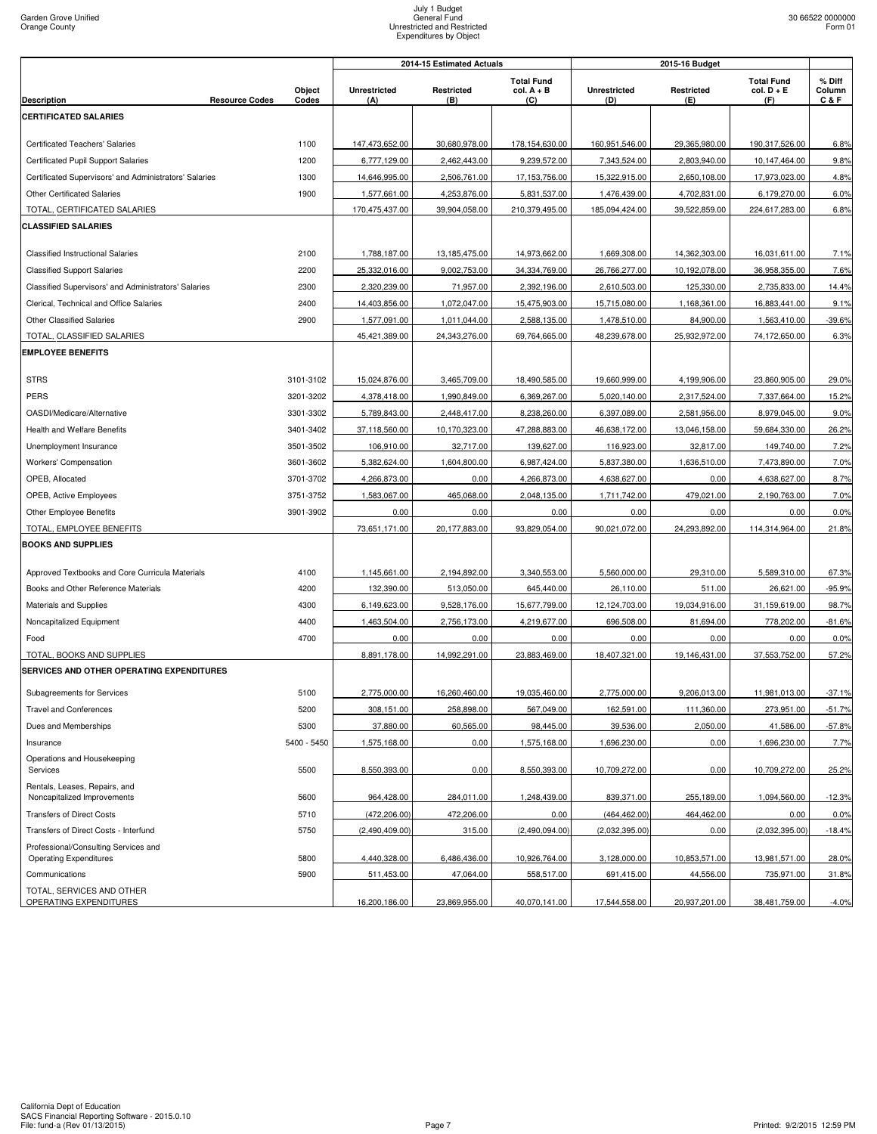|                                                              |                     | 2014-15 Estimated Actuals<br>2015-16 Budget |                   |                                          |                            |                   |                                          |                         |
|--------------------------------------------------------------|---------------------|---------------------------------------------|-------------------|------------------------------------------|----------------------------|-------------------|------------------------------------------|-------------------------|
| <b>Resource Codes</b><br><b>Description</b>                  | Object<br>Codes     | <b>Unrestricted</b><br>(A)                  | Restricted<br>(B) | <b>Total Fund</b><br>$col. A + B$<br>(C) | <b>Unrestricted</b><br>(D) | Restricted<br>(E) | <b>Total Fund</b><br>$col. D + E$<br>(F) | % Diff<br>Column<br>C&F |
| <b>CERTIFICATED SALARIES</b>                                 |                     |                                             |                   |                                          |                            |                   |                                          |                         |
|                                                              |                     |                                             |                   |                                          |                            |                   |                                          |                         |
| Certificated Teachers' Salaries                              | 1100                | 147,473,652.00                              | 30,680,978.00     | 178,154,630.00                           | 160,951,546.00             | 29,365,980.00     | 190,317,526.00                           | 6.8%                    |
| Certificated Pupil Support Salaries                          | 1200                | 6,777,129.00                                | 2,462,443.00      | 9,239,572.00                             | 7,343,524.00               | 2,803,940.00      | 10,147,464.00                            | 9.8%                    |
| Certificated Supervisors' and Administrators' Salaries       | 1300                | 14,646,995.00                               | 2,506,761.00      | 17,153,756.00                            | 15,322,915.00              | 2,650,108.00      | 17,973,023.00                            | 4.8%                    |
| <b>Other Certificated Salaries</b>                           | 1900                | 1,577,661.00                                | 4,253,876.00      | 5,831,537.00                             | 1,476,439.00               | 4,702,831.00      | 6,179,270.00                             | 6.0%                    |
| TOTAL, CERTIFICATED SALARIES                                 |                     | 170,475,437.00                              | 39,904,058.00     | 210,379,495.00                           | 185,094,424.00             | 39,522,859.00     | 224,617,283.00                           | 6.8%                    |
| <b>CLASSIFIED SALARIES</b>                                   |                     |                                             |                   |                                          |                            |                   |                                          |                         |
|                                                              |                     |                                             |                   |                                          |                            |                   |                                          |                         |
| <b>Classified Instructional Salaries</b>                     | 2100                | 1,788,187.00                                | 13,185,475.00     | 14,973,662.00                            | 1,669,308.00               | 14,362,303.00     | 16,031,611.00                            | 7.1%                    |
| <b>Classified Support Salaries</b>                           | 2200                | 25,332,016.00                               | 9,002,753.00      | 34,334,769.00                            | 26,766,277.00              | 10,192,078.00     | 36,958,355.00                            | 7.6%                    |
| Classified Supervisors' and Administrators' Salaries         | 2300                | 2,320,239.00                                | 71,957.00         | 2,392,196.00                             | 2,610,503.00               | 125,330.00        | 2,735,833.00                             | 14.4%                   |
| Clerical, Technical and Office Salaries                      | 2400                | 14,403,856.00                               | 1,072,047.00      | 15,475,903.00                            | 15,715,080.00              | 1,168,361.00      | 16,883,441.00                            | 9.1%                    |
| <b>Other Classified Salaries</b>                             | 2900                | 1,577,091.00                                | 1,011,044.00      | 2,588,135.00                             | 1,478,510.00               | 84,900.00         | 1,563,410.00                             | $-39.6%$                |
| TOTAL, CLASSIFIED SALARIES                                   |                     | 45,421,389.00                               | 24,343,276.00     | 69,764,665.00                            | 48,239,678.00              | 25,932,972.00     | 74,172,650.00                            | 6.3%                    |
| <b>EMPLOYEE BENEFITS</b>                                     |                     |                                             |                   |                                          |                            |                   |                                          |                         |
| <b>STRS</b>                                                  | 3101-3102           | 15,024,876.00                               | 3,465,709.00      | 18,490,585.00                            | 19,660,999.00              | 4,199,906.00      | 23,860,905.00                            | 29.0%                   |
| PERS                                                         | 3201-3202           | 4,378,418.00                                | 1,990,849.00      | 6,369,267.00                             | 5,020,140.00               | 2,317,524.00      | 7,337,664.00                             | 15.2%                   |
| OASDI/Medicare/Alternative                                   | 3301-3302           | 5,789,843.00                                | 2,448,417.00      | 8,238,260.00                             | 6,397,089.00               | 2,581,956.00      | 8,979,045.00                             | 9.0%                    |
| <b>Health and Welfare Benefits</b>                           | 3401-3402           | 37,118,560.00                               | 10,170,323.00     | 47,288,883.00                            | 46,638,172.00              | 13,046,158.00     | 59,684,330.00                            | 26.2%                   |
| Unemployment Insurance                                       | 3501-3502           | 106,910.00                                  | 32,717.00         | 139,627.00                               | 116,923.00                 | 32,817.00         | 149,740.00                               | 7.2%                    |
| Workers' Compensation                                        | 3601-3602           |                                             | 1,604,800.00      |                                          |                            | 1,636,510.00      | 7,473,890.00                             | 7.0%                    |
|                                                              |                     | 5,382,624.00                                |                   | 6,987,424.00                             | 5,837,380.00               |                   |                                          |                         |
| OPEB, Allocated                                              | 3701-3702           | 4,266,873.00                                | 0.00              | 4,266,873.00                             | 4,638,627.00               | 0.00              | 4,638,627.00                             | 8.7%                    |
| OPEB, Active Employees                                       | 3751-3752           | 1,583,067.00                                | 465,068.00        | 2,048,135.00                             | 1,711,742.00               | 479,021.00        | 2,190,763.00                             | 7.0%                    |
| Other Employee Benefits                                      | 3901-3902           | 0.00                                        | 0.00              | 0.00                                     | 0.00                       | 0.00              | 0.00                                     | 0.0%                    |
| TOTAL, EMPLOYEE BENEFITS                                     |                     | 73,651,171.00                               | 20,177,883.00     | 93,829,054.00                            | 90,021,072.00              | 24,293,892.00     | 114,314,964.00                           | 21.8%                   |
| <b>BOOKS AND SUPPLIES</b>                                    |                     |                                             |                   |                                          |                            |                   |                                          |                         |
| Approved Textbooks and Core Curricula Materials              | 4100                | 1,145,661.00                                | 2,194,892.00      | 3,340,553.00                             | 5,560,000.00               | 29,310.00         | 5,589,310.00                             | 67.3%                   |
| Books and Other Reference Materials                          | 4200                | 132,390.00                                  | 513,050.00        | 645,440.00                               | 26,110.00                  | 511.00            | 26,621.00                                | $-95.9%$                |
| Materials and Supplies                                       | 4300                | 6,149,623.00                                | 9,528,176.00      | 15,677,799.00                            | 12,124,703.00              | 19,034,916.00     | 31,159,619.00                            | 98.7%                   |
| Noncapitalized Equipment                                     | 4400                | 1,463,504.00                                | 2,756,173.00      | 4,219,677.00                             | 696,508.00                 | 81,694.00         | 778,202.00                               | $-81.6%$                |
| Food                                                         | 4700                | 0.00                                        | 0.00              | 0.00                                     | 0.00                       | 0.00              | 0.00                                     | 0.0%                    |
| TOTAL, BOOKS AND SUPPLIES                                    |                     | 8,891,178.00                                | 14,992,291.00     | 23,883,469.00                            | 18,407,321.00              | 19,146,431.00     | 37,553,752.00                            | 57.2%                   |
| SERVICES AND OTHER OPERATING EXPENDITURES                    |                     |                                             |                   |                                          |                            |                   |                                          |                         |
| Subagreements for Services                                   | 5100                | 2,775,000.00                                | 16,260,460.00     | 19,035,460.00                            | 2,775,000.00               | 9,206,013.00      | 11,981,013.00                            | $-37.1%$                |
| <b>Travel and Conferences</b>                                | 5200                | 308,151.00                                  | 258,898.00        | 567,049.00                               | 162,591.00                 | 111,360.00        | 273,951.00                               | $-51.7%$                |
|                                                              |                     |                                             |                   | 98,445.00                                |                            | 2,050.00          |                                          |                         |
| Dues and Memberships                                         | 5300<br>5400 - 5450 | 37,880.00                                   | 60,565.00<br>0.00 |                                          | 39,536.00<br>1,696,230.00  | 0.00              | 41,586.00<br>1,696,230.00                | $-57.8%$                |
| Insurance                                                    |                     | 1,575,168.00                                |                   | 1,575,168.00                             |                            |                   |                                          | 7.7%                    |
| Operations and Housekeeping<br>Services                      | 5500                | 8,550,393.00                                | 0.00              | 8,550,393.00                             | 10,709,272.00              | 0.00              | 10,709,272.00                            | 25.2%                   |
| Rentals, Leases, Repairs, and<br>Noncapitalized Improvements | 5600                | 964,428.00                                  | 284,011.00        | 1,248,439.00                             | 839,371.00                 | 255,189.00        | 1,094,560.00                             | $-12.3%$                |
| <b>Transfers of Direct Costs</b>                             | 5710                | (472, 206.00)                               | 472,206.00        | 0.00                                     | (464, 462.00)              | 464,462.00        | 0.00                                     | 0.0%                    |
| Transfers of Direct Costs - Interfund                        | 5750                | (2,490,409.00)                              | 315.00            | (2,490,094.00)                           | (2,032,395.00)             | 0.00              | (2,032,395.00)                           | $-18.4%$                |
| Professional/Consulting Services and                         |                     |                                             |                   |                                          |                            |                   |                                          |                         |
| <b>Operating Expenditures</b>                                | 5800                | 4,440,328.00                                | 6,486,436.00      | 10,926,764.00                            | 3,128,000.00               | 10,853,571.00     | 13,981,571.00                            | 28.0%                   |
| Communications                                               | 5900                | 511,453.00                                  | 47,064.00         | 558,517.00                               | 691,415.00                 | 44,556.00         | 735,971.00                               | 31.8%                   |
| TOTAL, SERVICES AND OTHER<br>OPERATING EXPENDITURES          |                     | 16,200,186.00                               | 23,869,955.00     | 40,070,141.00                            | 17,544,558.00              | 20,937,201.00     | 38,481,759.00                            | $-4.0%$                 |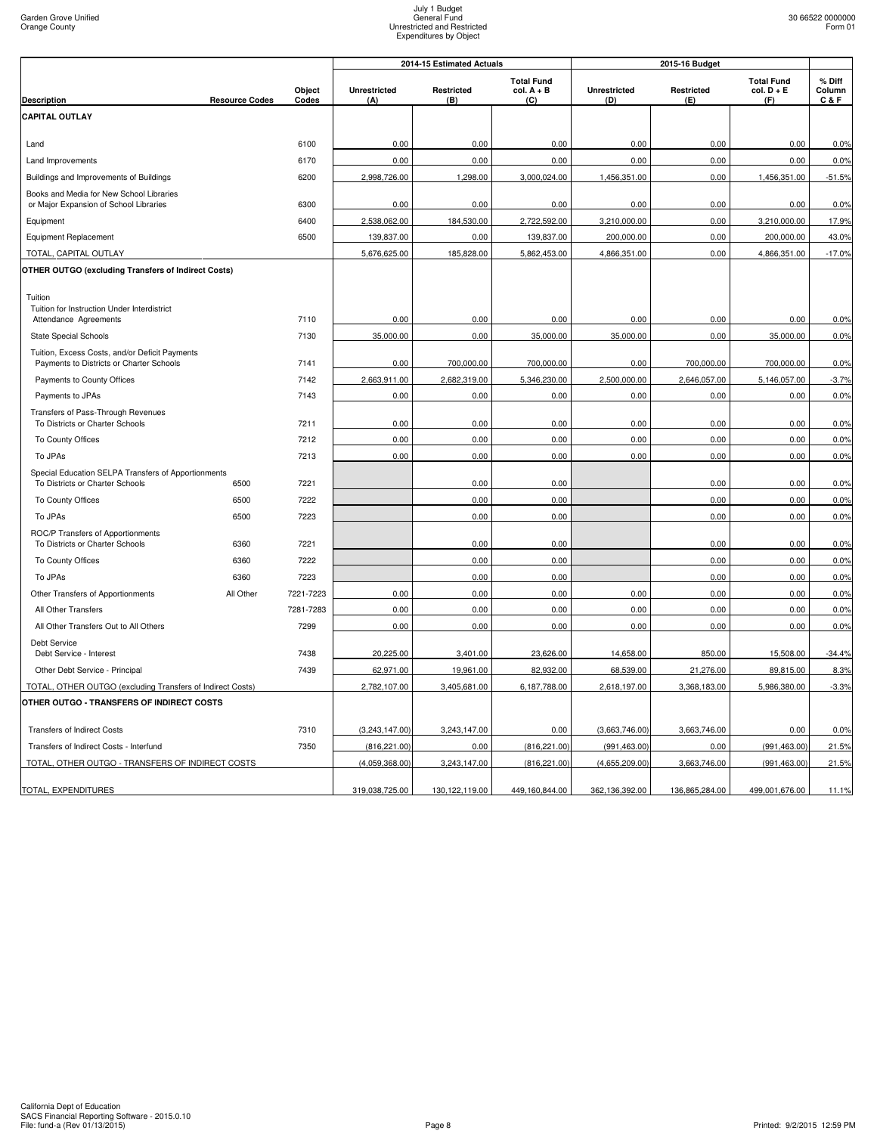|                                                                                            |                       |                 |                            | 2014-15 Estimated Actuals |                                          | 2015-16 Budget             |                   |                                          |                         |
|--------------------------------------------------------------------------------------------|-----------------------|-----------------|----------------------------|---------------------------|------------------------------------------|----------------------------|-------------------|------------------------------------------|-------------------------|
| <b>Description</b>                                                                         | <b>Resource Codes</b> | Object<br>Codes | <b>Unrestricted</b><br>(A) | Restricted<br>(B)         | <b>Total Fund</b><br>$col. A + B$<br>(C) | <b>Unrestricted</b><br>(D) | Restricted<br>(E) | <b>Total Fund</b><br>$col. D + E$<br>(F) | % Diff<br>Column<br>C&F |
| <b>CAPITAL OUTLAY</b>                                                                      |                       |                 |                            |                           |                                          |                            |                   |                                          |                         |
|                                                                                            |                       |                 |                            |                           |                                          |                            |                   |                                          |                         |
| Land                                                                                       |                       | 6100            | 0.00                       | 0.00                      | 0.00                                     | 0.00                       | 0.00              | 0.00                                     | 0.0%                    |
| Land Improvements                                                                          |                       | 6170            | 0.00                       | 0.00                      | 0.00                                     | 0.00                       | 0.00              | 0.00                                     | 0.0%                    |
| Buildings and Improvements of Buildings                                                    |                       | 6200            | 2,998,726.00               | 1,298.00                  | 3,000,024.00                             | 1,456,351.00               | 0.00              | 1,456,351.00                             | $-51.5%$                |
| Books and Media for New School Libraries<br>or Major Expansion of School Libraries         |                       | 6300            | 0.00                       | 0.00                      | 0.00                                     | 0.00                       | 0.00              | 0.00                                     | 0.0%                    |
| Equipment                                                                                  |                       | 6400            | 2,538,062.00               | 184,530.00                | 2,722,592.00                             | 3,210,000.00               | 0.00              | 3,210,000.00                             | 17.9%                   |
| Equipment Replacement                                                                      |                       | 6500            | 139,837.00                 | 0.00                      | 139,837.00                               | 200,000.00                 | 0.00              | 200,000.00                               | 43.0%                   |
| TOTAL, CAPITAL OUTLAY                                                                      |                       |                 | 5,676,625.00               | 185,828.00                | 5,862,453.00                             | 4,866,351.00               | 0.00              | 4,866,351.00                             | $-17.0%$                |
| <b>OTHER OUTGO (excluding Transfers of Indirect Costs)</b>                                 |                       |                 |                            |                           |                                          |                            |                   |                                          |                         |
| Tuition                                                                                    |                       |                 |                            |                           |                                          |                            |                   |                                          |                         |
| Tuition for Instruction Under Interdistrict                                                |                       |                 |                            |                           |                                          |                            |                   |                                          |                         |
| Attendance Agreements                                                                      |                       | 7110            | 0.00                       | 0.00                      | 0.00                                     | 0.00                       | 0.00              | 0.00                                     | 0.0%                    |
| <b>State Special Schools</b>                                                               |                       | 7130            | 35,000.00                  | 0.00                      | 35,000.00                                | 35,000.00                  | 0.00              | 35,000.00                                | 0.0%                    |
| Tuition, Excess Costs, and/or Deficit Payments<br>Payments to Districts or Charter Schools |                       | 7141            | 0.00                       | 700,000.00                | 700,000.00                               | 0.00                       | 700,000.00        | 700,000.00                               | 0.0%                    |
| Payments to County Offices                                                                 |                       | 7142            | 2,663,911.00               | 2,682,319.00              | 5,346,230.00                             | 2,500,000.00               | 2,646,057.00      | 5,146,057.00                             | $-3.7%$                 |
| Payments to JPAs                                                                           |                       | 7143            | 0.00                       | 0.00                      | 0.00                                     | 0.00                       | 0.00              | 0.00                                     | 0.0%                    |
| Transfers of Pass-Through Revenues<br>To Districts or Charter Schools                      |                       | 7211            | 0.00                       | 0.00                      | 0.00                                     | 0.00                       | 0.00              | 0.00                                     | 0.0%                    |
| To County Offices                                                                          |                       | 7212            | 0.00                       | 0.00                      | 0.00                                     | 0.00                       | 0.00              | 0.00                                     | 0.0%                    |
| To JPAs                                                                                    |                       | 7213            | 0.00                       | 0.00                      | 0.00                                     | 0.00                       | 0.00              | 0.00                                     | 0.0%                    |
| Special Education SELPA Transfers of Apportionments                                        |                       |                 |                            |                           |                                          |                            |                   |                                          |                         |
| To Districts or Charter Schools                                                            | 6500                  | 7221            |                            | 0.00                      | 0.00                                     |                            | 0.00              | 0.00                                     | 0.0%                    |
| To County Offices                                                                          | 6500                  | 7222            |                            | 0.00                      | 0.00                                     |                            | 0.00              | 0.00                                     | 0.0%                    |
| To JPAs                                                                                    | 6500                  | 7223            |                            | 0.00                      | 0.00                                     |                            | 0.00              | 0.00                                     | 0.0%                    |
| ROC/P Transfers of Apportionments<br>To Districts or Charter Schools                       | 6360                  | 7221            |                            | 0.00                      | 0.00                                     |                            | 0.00              | 0.00                                     | 0.0%                    |
| To County Offices                                                                          | 6360                  | 7222            |                            | 0.00                      | 0.00                                     |                            | 0.00              | 0.00                                     | 0.0%                    |
| To JPAs                                                                                    | 6360                  | 7223            |                            | 0.00                      | 0.00                                     |                            | 0.00              | 0.00                                     | 0.0%                    |
| Other Transfers of Apportionments                                                          | All Other             | 7221-7223       | 0.00                       | 0.00                      | 0.00                                     | 0.00                       | 0.00              | 0.00                                     | 0.0%                    |
| All Other Transfers                                                                        |                       | 7281-7283       | 0.00                       | 0.00                      | 0.00                                     | 0.00                       | 0.00              | 0.00                                     | 0.0%                    |
| All Other Transfers Out to All Others                                                      |                       | 7299            | 0.00                       | 0.00                      | 0.00                                     | 0.00                       | 0.00              | 0.00                                     | 0.0%                    |
| Debt Service<br>Debt Service - Interest                                                    |                       | 7438            | 20,225.00                  | 3,401.00                  | 23,626.00                                | 14,658.00                  | 850.00            | 15,508.00                                | $-34.4%$                |
| Other Debt Service - Principal                                                             |                       | 7439            | 62,971.00                  | 19,961.00                 | 82,932.00                                | 68,539.00                  | 21,276.00         | 89,815.00                                | 8.3%                    |
| TOTAL, OTHER OUTGO (excluding Transfers of Indirect Costs)                                 |                       |                 | 2,782,107.00               | 3,405,681.00              | 6,187,788.00                             | 2,618,197.00               | 3,368,183.00      | 5,986,380.00                             | $-3.3%$                 |
| OTHER OUTGO - TRANSFERS OF INDIRECT COSTS                                                  |                       |                 |                            |                           |                                          |                            |                   |                                          |                         |
| <b>Transfers of Indirect Costs</b>                                                         |                       | 7310            | (3,243,147.00)             | 3,243,147.00              | 0.00                                     | (3,663,746.00)             | 3,663,746.00      | 0.00                                     | 0.0%                    |
| Transfers of Indirect Costs - Interfund                                                    |                       | 7350            | (816, 221.00)              | 0.00                      | (816, 221.00)                            | (991, 463.00)              | 0.00              | (991, 463.00)                            | 21.5%                   |
| TOTAL, OTHER OUTGO - TRANSFERS OF INDIRECT COSTS                                           |                       |                 | (4,059,368.00)             | 3,243,147.00              | (816, 221.00)                            | (4,655,209.00)             | 3,663,746.00      | (991, 463.00)                            | 21.5%                   |
|                                                                                            |                       |                 |                            |                           |                                          |                            |                   |                                          |                         |
| TOTAL, EXPENDITURES                                                                        |                       |                 | 319,038,725.00             | 130,122,119.00            | 449,160,844.00                           | 362,136,392.00             | 136,865,284.00    | 499,001,676.00                           | 11.1%                   |